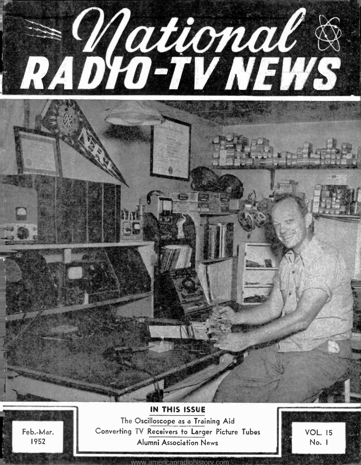

<www.americanradiohistory.com>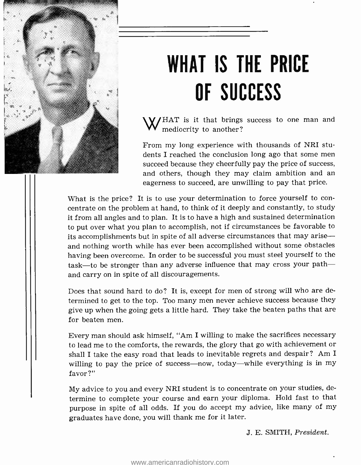

# WHAT IS THE PRICE OF SUCCESS

W/HAT is it that brings success to one man and mediocrity to another?

From my long experience with thousands of NRI students I reached the conclusion long ago that some men succeed because they cheerfully pay the price of success, and others, though they may claim ambition and an eagerness to succeed, are unwilling to pay that price.

What is the price? It is to use your determination to force yourself to concentrate on the problem at hand, to think of it deeply and constantly, to study it from all angles and to plan. It is to have a high and sustained determination to put over what you plan to accomplish, not if circumstances be favorable to its accomplishments but in spite of all adverse circumstances that may ariseand nothing worth while has ever been accomplished without some obstacles having been overcome. In order to be successful you must steel yourself to the task—to be stronger than any adverse influence that may cross your path and carry on in spite of all discouragements.

Does that sound hard to do? It is, except for men of strong will who are determined to get to the top. Too many men never achieve success because they give up when the going gets a little hard. They take the beaten paths that are for beaten men.

Every man should ask himself, "Am I willing to make the sacrifices necessary to lead me to the comforts, the rewards, the glory that go with achievement or shall I take the easy road that leads to inevitable regrets and despair? Am I willing to pay the price of success-now, today-while everything is in my favor?"

My advice to you and every NRI student is to concentrate on your studies, determine to complete your course and earn your diploma. Hold fast to that purpose in spite of all odds. If you do accept my advice, like many of my graduates have done, you will thank me for it later.

J. E. SMITH, President.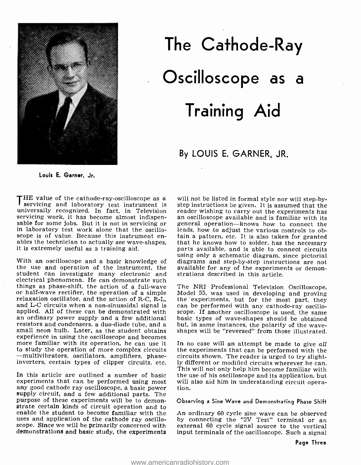

# The Cathode-Ray Oscilloscope as a Training Aid

## By LOUIS E. GARNER, JR.

Louis E. Garner, Jr.

THE value of the cathode-ray-oscilloscope as a will not be listed in formal style nor will step-by-<br>requiring and laboratory test instruments I servicing and laboratory test instrument is step instructions be given. It is assumed that the universally recognized. In fact, in Television reader wishing to carry out the experiments has servicing work, it has become servicing work, it has become almost indispen-<br>sable for some jobs. But it is not in servicing or<br>in laboratory test work alone that the oscillo-<br>scope is of value. Because this instrument enables the technician to actually see wave-shapes, it is extremely useful as a training aid.

the use and operation of the instrument, the student can investigate many electronic and electrical phenomena. He can demonstrate such<br>things as phase-shift, the action of a full-wave The NRI Professional Television Oscilloscope, things as phase-shift, the action of a full-wave The NRI Professional Television Oscilloscope, or half-wave rectifier, the operation of a simple relaxation oscillator, and the action of R-C, R-L, the 'experiments, but for applied. All of these can be demonstrated with scope. If another oscilloscope is used, the same<br>an ordinary power supply and a few additional basic types of wave-shapes should be obtained<br>resistors and condensers, a duo-di small neon bulb. Later, as the student obtains experience in using the oscilloscope and becomes more familiar with its operation, he can use it to study the operation of more complex circuits the experiments that can be performed with the --<br>multivibrators, oscillators, amplifiers, phase-circuits shown. The reader is urged to try slight--multivibrators, oscillators, amplifiers, phase-circuits shown. The reader is urged to try slight-<br>inverters, certain types of clipper circuits, etc. ly different or modified circuits wherever he can.

In this article are outlined a number of basic experiments that can be performed using most<br>any good cathode ray oscilloscope, a basic power any good cathode ray oscilloscope, a basic power tion.<br>supply circuit, and a few additional parts. The purpose of these experiments will be to demonstrate certain kinds of circuit operation and to enable the student to become familiar with the uses and application of the cathode ray oscilloscope. Since we will be primarily concerned with external 60 cycle signal source to the vertical demonstrations and basic study, the experiments

With an oscilloscope and a basic knowledge of diagrams and step-by-step instructions are not step instructions be given. It is assumed that the reader wishing to carry out the experiments has general operation-knows how to connect the leads, how to adjust the various controls to obtain a pattern, etc. It is also taken for granted that he knows how to solder, has the necessary parts available, and is able to connect circuits using only a schematic diagram, since pictorial available for any of the experiments or demonstrations described in this article.

> the experiments, but for the most part, they scope. If another oscilloscope is used, the same shapes will be "reversed" from those illustrated.

> In no case will an attempt be made to give  $all$ the experiments that can be performed with the This will not only help him become familiar with the use of his oscilloscope and its application, but will also aid him in understanding circuit opera-

### Observing a Sine Wave and Demonstrating Phase Shift

An ordinary 60 cycle sine wave can be observed by connecting the "2V Test" terminal or an input terminals of the oscilloscope. Such a signal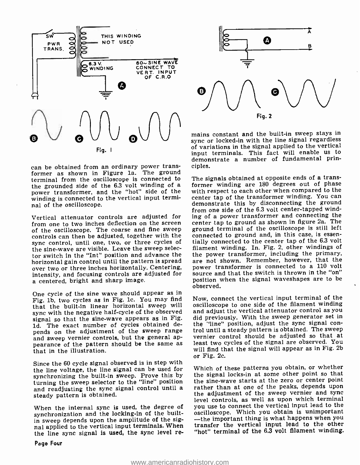

can be obtained from an ordinary power transformer as shown in Figure la. The ground terminal from the oscilloscope is connected to power transformer, and the "hot" side of the with respect to each other when compared to the<br>winding is connected to the vertical input termi- center tap of the transformer winding. You can winding is connected to the vertical input terminal of the oscilloscope.

Vertical attenuator controls are adjusted for from one to two inches deflection on the screen of the oscilloscope. The coarse and fine sweep ground terminal of the oscilloscope is still left<br>controls can then be adjusted, together with the connected to ground and, in this case, is essencontrols can then be adjusted, together with the sync control, until one, two, or three cycles of the sine -wave are visible. Leave the sweep selector switch in the "Int" position and advance the horizontal gain control until the pattern is spread are not shown. Remember, however, that the<br>over two or three inches horizontally. Centering, power transformer is connected to a 110 volt<br>intensity, and focusing controls intensity, and focusing controls are adjusted for a centered, bright and sharp image.

One cycle of the sine wave should appear as in Fig. lb, two cycles as in Fig. lc. You may find that the built-in linear horizontal sweep will sync with the negative half-cycle of the observed signal so that the sine-wave appears as in Fig. 1d. The exact number of cycles obtained depends on the adjustment of the sweep range trol until a steady pattern is obtained. The sweep and sweep vernier controls, but the general appearance of the pattern should be the same as that in the illustration.

Since the 60 cycle signal observed is in step with the line voltage, the line signal can be used for synchronizing the built-in sweep. Prove this by turning the sweep selector to the "line" position and readjusting the sync signal control until a steady pattern is obtained.

When the internal sync is used, the degree of synchronization and the locking-in of the built-<br>in sweep depends upon the amplitude of the signal applied to the vertical input terminals. When the line sync signal is used, the sync level re-



mains constant and the built-in sweep stays in sync or locked -in with the line signal regardless of variations in the signal applied to the vertical input terminals. This fact will enable us to demonstrate a number of fundamental principles.

The signals obtained at opposite ends of a transformer winding are 180 degrees out of phase with respect to each other when compared to the demonstrate this by disconnecting the ground from one side of the 6.3 volt center -tapped winding of a power transformer and connecting the center tap to ground as shown in figure 2a. The ground terminal of the oscilloscope is still left tially connected to the center tap of the 6.3 volt filament winding. In. Fig. 2, other windings of the power transformer, including the primary, are not shown. Remember, however, that the power transformer is connected to a 110 volt position when the signal waveshapes are to be observed.

Now, connect the vertical input terminal of the oscilloscope to one side of the filament winding and adjust the vertical attenuator control as you did previously. With the sweep generator set in the "line" position, adjust the sync signal convernier control should be adjusted so that at least two cycles of the signal are observed. You will find that the signal will appear as in Fig. 2b or Fig. 2c.

Which of these patterns you obtain, or whether the signal locks -in at some other point so that the sine -wave starts at the zero or center point rather than at one of the peaks, depends upon the adjustment of the sweep vernier and sync level controls, as well as upon which terminal you use to connect the vertical input lead to the oscilloscope. Which you obtain is unimportant<br>--the important thing is what happens when you transfer the vertical input lead to the other "hot" terminal of the 6.3 volt filament winding.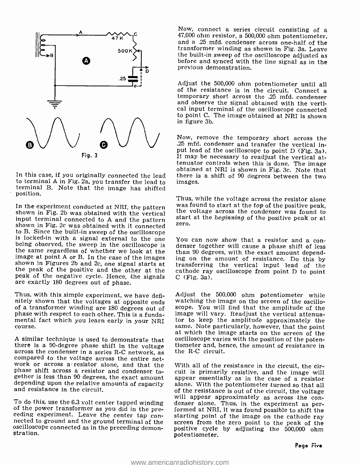

to terminal A in Fig. 2a, you transfer the lead to terminal B. Note that the image has shifted position.

In the experiment conducted at NRI, the pattern was found to start at the top of the positive peak, shown in Fig. 2b was obtained with the vertical input terminal connected to A and the pattern shown in Fig. 2c was obtain is locked-in with a signal external to the one You can now show that a resistor and a con-<br>being observed, the sweep in the oscilloscope is denser together will cause a phase shift of less<br>the same regardless of whether w peak of the negative cycle. Hence, the signals are exactly 180 degrees out of phase.

Thus, with this simple experiment, we have definitely shown that the voltages at opposite ends of a transformer winding are 180 degrees out of phase with respect to each other. This is a funda-<br>mental fact which you learn early in your NRI<br>course.

A similar technique is used to demonstrate that<br>there is a 90-degree phase shift in the voltage<br>across the condenser in a series R-C network, as<br>compared to the voltage across the entire net-<br>work or across a resistor alon

To do this, use the 6.3 volt center tapped winding<br>of the power transformer as you did in the pre-<br>ceding experiment. Leave the center tap con-<br>nected to ground and the ground terminal of the<br>oscilloscope connected as in t

Now, connect a series circuit consisting of a 47,000 ohm resistor, a 500,000 ohm potentiometer, and a 25 mfd. condenser across one -half of the transformer winding as shown in Fig. 3a. Leave before and synced with the line signal as in the previous demonstration.

Adjust the 500,000 ohm potentiometer until all of the resistance is in the circuit. Connect a temporary short across the .25 mfd. condenser and observe the signal obtained with the verti- cal input terminal of the oscilloscope connected to point C. The image obtained at NRI is shown in figure 3b.

obtained at NRI is shown in Fig. 3c. Note that<br>In this case, if you originally connected the lead there is a shift of 90 degrees between the two Now, remove the temporary short across the .25 mfd. condenser and transfer the vertical in-<br>put lead of the oscilloscope to point  $D$  (Fig. 3a). It may be necessary to readjust the vertical attenuator controls when this is done. The image images.

> Thus, while the voltage across the resistor alone<br>was found to start at the *top* of the positive peak, start at the beginning of the positive peak or at

> denser together will cause a phase shift of less cathode ray oscilloscope from point  $D$  to point

> Adjust the 500,000 ohm potentiometer while watching the image on the screen of the oscilloscope. You will find that the amplitude of the image will vary. Readjust the vertical attenuator to keep the amplitude approximately the same. Note particularly, however, that the point at which the image starts on the screen of the oscilloscope varies with the position of the potentiometer and, hence, the amount of resistance in the R-C circuit.

> With all of the resistance in the circuit, the circuit is primarily resistive, and the image will appear essentially as in the case of a resistor alone. With the potentiometer turned so that all<br>of the resistance is out of the circuit, the voltage will appear approximately as across the condenser alone. Thus, in the experiment as per-<br>formed at NRI, it was found possible to shift the<br>starting point of the image on the cathode ray<br>screen from the zero point to the pe positive cycle by adjusting the 500,000 ohm potentiometer.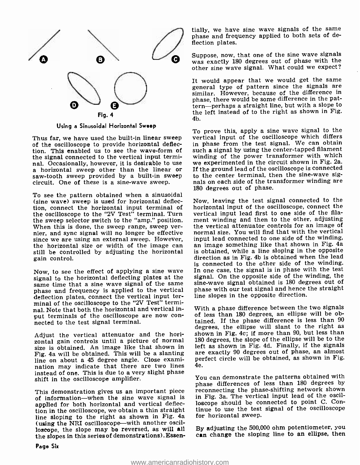

Using a Sinusoidal Horizontal Sweep

Thus far, we have used the built-in linear sweep of the oscilloscope to provide horizontal deflection. This enabled us to see the wave -form of the signal connected to the vertical input termi-<br>nal. Occasionally, however, it is desirable to use nal. Occasionally, however, it is desirable to use a we experimented in the circuit shown in Fig. 2a.<br>a horizontal sweep other than the linear or If the ground lead of the oscilloscope is connected<br>saw-tooth sweep provided circuit. One of these is a sine -wave sweep.

To see the pattern obtained when a sinusoidal (sine wave) sweep is used for horizontal deflection, connect the horizontal input terminal of the oscilloscope to the "2V Test" terminal. Turn the sweep selector switch to the "amp." position.<br>When this is done, the sweep range, sweep vernier, and sync signal will no longer be effective since we are using an external sweep. However, input lead connected to one side of the winding,<br>the horizontal size or width of the image can an image something like that shown in Fig. 4a the horizontal size or width of the image can still be controlled by adjusting the horizontal gain control.

Now, to see the effect of applying a sine wave signal to the horizontal deflecting plates at the same time that a sine wave signal of the same phase and frequency is applied to the vertical deflection plates, connect the vertical input terminal of the oscilloscope to the "2V Test" terminal. Note that both the horizontal and vertical input terminals of the oscilloscope are now con- nected to the test signal terminal.

Adjust the vertical attenuator and the horizontal gain controls until a picture of normal size is obtained. An image like that shown in Fig. 4a will be obtained. This will be a slanting line on about a 45 degree angle. Close examination may indicate that there are two lines instead of one. This is due to a very slight phase shift in the oscilloscope amplifier.

This demonstration gives us an important piece of information-when the sine wave signal is applied for both horizontal and vertical deflection in the oscilloscope, we obtain a thin straight line sloping to the right as shown in Fig. 4a (using the NRI oscilloscope—with another oscilloscope, the slope may be reversed, as will all the slopes in this series of demonstrations). Essen -

tially, we have sine wave signals of the same phase and frequency applied to both sets of deflection plates.

Suppose, now, that one of the sine wave signals was exactly 180 degrees out of phase with the other sine wave signal. What could we expect?

It would appear that we would get the same general type of pattern since the signals are similar. However, because of the difference in phase, there would be some difference in the pattern- perhaps a straight line, but with a slope to the left instead of to the right as shown in Fig. 4b.

To prove this, apply a sine wave signal to the vertical input of the oscilloscope which differs in phase from the test signal. We can obtain such a signal by using the center -tapped filament winding of the power transformer with which If the ground lead of the oscilloscope is connected to the center terminal, then the sine-wave signals on each side of the transformer winding are 180 degrees out of phase.

Now, leaving the test signal connected to the horizontal input of the oscilloscope, connect the vertical input lead first to one side of the filament winding and then to the other, adjusting the vertical attenuator controls for an image of normal size. You will find that with the vertical input lead connected to one side of the winding, is obtained, while a line sloping in the opposite direction as in Fig. 4b is obtained when the lead is connected to the other side of the winding. In one case, the signal is in phase with the test signal. On the opposite side of the winding, the sine -wave signal obtained is 180 degrees out of phase with our test signal and hence the straight line slopes in the opposite direction.

With a phase difference between the two signals of less than 180 degrees, an ellipse will be obtained. If the phase difference is less than <sup>90</sup> degrees, the ellipse will slant to the right as shown in Fig. 4c; if more than 90, but less than <sup>180</sup>degrees, the slope of the ellipse will be to the left as shown in Fig. 4d. Finally, if the signals are exactly 90 degrees out of phase, an almost perfect circle will be obtained, as shown in Fig. 4e.

You can demonstrate the patterns obtained with phase differences of less than 180 degrees by reconnecting the phase-shifting network shown in Fig. 3a. The vertical input lead of the oscilloscope should be connected to point C. Continue to use the test signal of the oscilloscope for horizontal sweep.

By adjusting the 500,000 ohm potentiometer, you can change the sloping line to an ellipse, then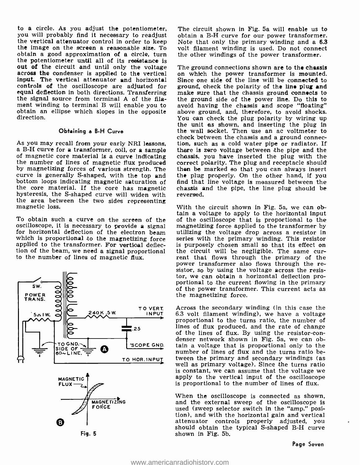to a circle. As you adjust the potentiometer, you will probably find it necessary to readjust the vertical attenuator control in order to keep the image on the screen a reasonable size. To obtain a good approximation of a circle, turn the potentiometer until all of its resistance is<br>out of the circuit and until only the voltage The ground connections shown are to the chassis across the condenser is applied to the vertical input. The vertical attenuator and horizontal controls of the oscilloscope are adjusted for<br>equal deflection in both directions. Transferring the signal source from terminal A of the filament winding to terminal B will enable you to avoid having the chassis and scope "floating" obtain an ellipse which slopes in the opposite direction.

#### Obtaining a B -H Curve

As you may recall from your early NRI lessons, tion, such as a cold water pipe or radiator. If<br>a B-H curve for a transformer, coil, or a sample there is zero voltage between the pipe and the<br>of magnetic core material is a bottom loops indicating magnetic saturation of<br>the core material. If the core has magnetic hvsteresis, the S-shaped curve will widen with the area between the two sides representing magnetic loss.

To obtain such a curve on the screen of the oscilloscope, it is necessary to provide a signal magnetizing force applied to the transformer by for horizontal deflection of the electron beam utilizing the voltage drop across a resistor in which is proportional to the magnetizing force series with the primary winding. This resistor applied to the transformer. For vertical deflec- is purposely chosen small so that its effect on applied to the transformer. For vertical deflection of the beam, we need a signal proportional the circuit will be negligible. The same curto the number of lines of magnetic flux.





Fig. 5

The circuit shown in Fig. 5a will enable us to obtain a B-H curve for our power transformer. Note that only the primary winding and a 6.3 volt filament winding is used. Do not connect the other windings of the power transformer.

on which the power transformer is mounted. Since one side of the line will be connected to ground, check the polarity of the line plug and make sure that the chassis ground connects to the ground side of the power line. Do this to above ground, and, therefore, to avoid shocks. You can check the plug polarity by wiring up the unit as shown, and inserting the plug in the wall socket. Then use an ac voltmeter to check between the chassis and a ground connecthere is zero voltage between the pipe and the chassis, you have inserted the plug with the correct polarity. The plug and receptacle should then be marked so that you can always insert find that line voltage is measured between the chassis and the pipe, the line plug should be reversed.

With the circuit shown in Fig. 5a, we can obtain a voltage to apply to the horizontal input of the oscilloscope that is proportional to the magnetizing force applied to the transformer by series with the primary winding. This resistor rent that flows through the primary of the power transformer also flows through the resistor, so by using the voltage across the resistor, we can obtain a horizontal deflection pro- portional to the current flowing in the primary of the power transformer. This current acts as the magnetizing force.

Across the secondary winding (in this case the 6.3 volt filament winding), we have a voltage proportional to the turns ratio, the number of lines of flux produced, and the rate of change of the lines of flux. By using the resistor -con- denser network shown in Fig. 5a, we can obtain a voltage that is proportional only to the number of lines of flux and the turns ratio between the primary and secondary windings (as well as primary voltage). Since the turns ratio is constant, we can assume that the voltage we apply to the vertical input of the oscilloscope is proportional to the number of lines of flux.

When the oscilloscope is connected as shown, and the external sweep of the oscilloscope is used (sweep selector switch in the "amp." posi- tion), and with the horizontal gain and vertical attenuator controls properly adjusted, you should obtain the typical S-shaped B-H curve shown in Fig. 5b.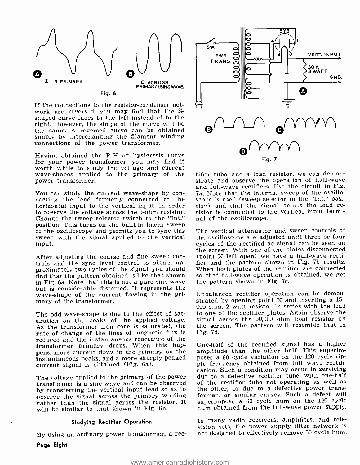

If the connections to the resistor -condenser network are reversed, you may find that the Sshaped curve faces to the left instead of to the right. However, the shape of the curve will be the same. A reversed curve can be obtained, simply by interchanging the filament winding connections of the power transformer.

Having obtained the B-H or hysteresis curve for your power transformer, you may find it worth while to study the voltage and current wave -shapes applied to the primary of the power transformer.

You can study the current wave-shape by con-<br>necting the lead formerly connected to the horizontal input to the vertical input, in order tion) and that the signal across the load reto observe the voltage across the 5-ohm resistor. sistor is connected to the vertical input termito observe the voltage across the 5 -ohm resistor. Change the sweep selector switch to the "Int." position. This turns on the built-in linear sweep of the oscilloscope and permits you to sync this sweep with the signal applied to the vertical input.

After adjusting the coarse and fine sweep con-<br>trols and the sync level control to obtain approximately two cycles of the signal, you should find that the pattern obtained is like that shown<br>in Fig. 6a. Note that this is not a pure sine wave but is considerably distorted. It represents the wave-shape of the current flowing in the primary of the transformer.

The odd wave-shape is due to the effect of sat-The but with peaks of the applied voltage. signal across the 50,000 ohm load resistor on As the transformer iron core is saturated, the rate of change of the lines of magnetic flux is reduced and the instantaneous reactance of the transformer primary drops. When this happens, more current flows in the primary on the instantaneous peaks, and a more sharply peaked current signal is obtained (Fig. 6a).

The voltage applied to the primary of the power transformer is a sine wave and can be observed of the rectifier tube not operating as well as<br>by transferring the vertical input lead so as to the other, or due to a defective power transby transferring the vertical input lead so as to observe the signal across the primary winding rather than the signal across the resistor. It will be similar to that shown in Fig. 6b.

#### Studying Rectifier Operation

By using an ordinary power transformer, a rec-

∠°<br>sw. 000000 **VERT. INPUT** PWR. TRANS. SOK<br>3 WATT GND. Δ  $\bullet$ 0'' ' L Fig. 7

tifier tube, and a load resistor, we can demonstrate and observe the operation of half-wave<br>and full-wave rectifiers. Use the circuit in Fig. 7a. Note that the internal sweep of the oscilloscope is used (sweep selector in the "Int." position) and that the signal across the load renal of the oscilloscope.

The vertical attenuator and sweep controls of the oscilloscope are adjusted until three or four cycles of the rectified ac signal can be seen on the screen. With one of the plates disconnected (point X left open) we have a half-wave rectifier and the pattern shown in Fig. 7b results. When both plates of the rectifier are connected so that full-wave operation is obtained, we get the pattern shown in Fig. 7c.

Unbalanced rectifier operation can be demonstrated by opening point X and inserting a 15,- 000 ohm, 2 watt resistor in series with the lead to one of the rectifier plates. Again observe the the screen. The pattern will resemble that in Fig. 7d.

One -half of the rectified signal has a higher amplitude than the other half. This superimposes a 60 cycle variation on the 120 cycle ripple frequency obtained from full wave rectification. Such a condition may occur in servicing due to a defective rectifier tube, with one -half of the rectifier tube not operating as well as former, or similar causes. Such a defect will superimpose a 60 cycle hum on the 120 cycle hum obtained from the full-wave power supply.

In many radio receivers, amplifiers, and television sets, the power supply filter network is not designed to effectively remove 60 cycle hum.

Page Eight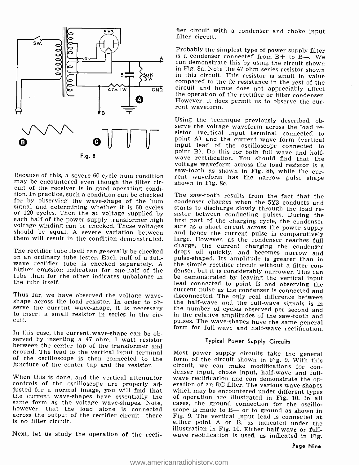

may be encountered even though the filter circuit of the receiver is in good operating condition. In practice, such a condition can be checked The saw-tooth results from the fact that the for by observing the wave-shape of the hum condenser charges when the 5Y3 conducts and for by observing the wave-shape of the hum<br>signal and determining whether it is 60 cycles

The rectifier tube itself can generally be checked or any off quickly, and becomes narrow and<br>on an ordinary tube tester. Each half of a full-<br>wave rectifier tube is checked separately. A the simple rectifier circuit witho tube than for the other indicates unbalance in the tube itself.

to insert a small resistor in series in the circuit.

In this case, the current wave-shape can be observed by inserting a 47 ohm, 1 watt resistor between the center tap of the transformer and<br>ground. The lead to the vertical input terminal Most power supply circuits take the general ground. The lead to the vertical input terminal Most power supply circuits take the general of the oscilloscope is then connected to the form of the circuit shown in Fig. 9. With this of the oscilloscope is then connected to the juncture of the center tap and the resistor.

controls of the oscilloscope are properly adjusted for a normal image, you will find that which may be encountered under different types<br>the current wave-shapes have essentially the of operation are illustrated in Fig. 10. In all same form as the voltage wave-shapes. Note, cases, the ground connection for the oscillo-<br>however, that the load alone is connected scope is made to  $B$ — or to ground as shown in<br>across the output of the rectifier circuit is no filter circuit.

Next, let us study the operation of the recti-

fier circuit with a condenser and choke input filter circuit.

Probably the simplest type of power supply filter is a condenser connected from  $B +$  to  $\overline{B -}$ . We can demonstrate this by using the circuit shown in Fig. 8a. Note the 47 ohm series resistor shown<br>in this circuit. This resistor is small in value compared to the dc resistance in the rest of the circuit and hence does not appreciably affect<br>the operation of the rectifier or filter condenser. However, it does permit us to observe the cur- rent waveform.

saw-tooth as shown in Fig. 8b, while the cur-<br>Because of this, a severe 60 cycle hum condition rent waveform has the narrow pulse shape Using the technique previously described, observe the voltage waveform across the load resistor (vertical input terminal connected to point A) and the current wave form (vertical input lead of the oscilloscope connected t

or 120 cycles. Then the ac voltage supplied by<br>each half of the power supply transformer high<br>first part of the charging cycle, the condenser<br>voltage winding can be checked. These voltages<br>acts as a short circuit across th them will result in the condition demonstrated. large. However, as the condenser reaches full<br>charge, the current charging the condenser Thus far, we have observed the voltage wave-<br>shape across the load resistor. In order to ob-<br>shape across the load resistor. In order to ob-<br>shape the current wave-shape, it is necessary the number of cycles observed per s starts to discharge slowly through the load reacts as a short circuit across the power supply drops off quickly, and becomes narrow and<br>pulse-shaped. Its amplitude is greater than in<br>the simple rectifier circuit without a filter con-<br>denser, but it is considerably narrower. This can<br>be demonstrated by leaving the v the half-wave and the full-wave signals is in<br>the number of cycles observed per second and<br>in the relative amplitudes of the saw-tooth and<br>pulses. The wave-shapes have the same general<br>form for full-wave and half-wave rect

## Typical Power Supply Circuits

denser input, choke input, half-wave and full-<br>When this is done, and the vertical attenuator wave rectification and can demonstrate the op-<br>controls of the oscilloscope are properly ad- eration of an RC filter. The variou circuit, we can make modifications for concases, the ground connection for the oscilloeither point A or B, as indicated under the illustration in Fig. 10. Either half-wave or full-wave rectification is used, as indicated in Fig.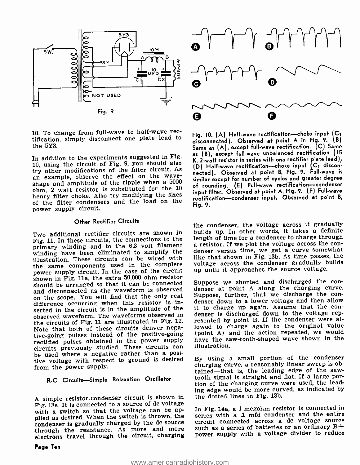

10. To change from full -wave to half -wave rec- tification, simply disconnect one plate lead to the 5Y3.

In addition to the experiments suggested in Fig. 10, using the circuit of Fig. 9, you should also<br>try other modifications of the filter circuit. As an example, observe the effect on the wave-<br>shape and amplitude of the ripple when a 5000 ohm, 2 watt resistor is substituted for the <sup>10</sup> henry filter choke. Also try modifying the sizes of the filter condensers and the load on the power supply circuit.

## Other Rectifier Circuits

Two additional rectifier circuits are shown in Fig. 11. In these circuits, the connections to the length of time for a condenser to charge through<br>naimeasy winding, and to the 6.3 volt filament a resistor. If we plot the voltage across the conprimary winding and to the 6.3 volt filament a resistor. If we plot the voltage across the con-<br>winding have been eliminated to simplify the denser versus time, we get a curve somewhat winding have been eliminated to simplify the illustration. These circuits can be wired with the same components used in the complete power supply circuit. In the case of the circuit shown in Fig. 11a, the extra 50,000 ohm resistor<br>should be arranged so that it can be connected. Suppose we shorted and discharged the conshould be arranged so that it can be connected<br>and disconnected as the waveform is observed and disconnected as the waveform is observed on the suppose, further, that we discharge the con-<br>difference occurring when this resistor is in-<br>denser down to a lower voltage and then allow difference occurring when this resistor is inserted in the circuit is in the amplitude of the it to charge up again. Assume that the conobserved waveform. The waveforms observed in the circuits of Fig. 11 are illustrated in Fig. 12. Note that both of these circuits deliver negative-going pulses instead of the positive-going rectified pulses obtained in the power supply<br>circuits previously studied. These circuits can be used where a negative rather than a positive voltage with respect to ground is desired from the power supply.

## R-C Circuits-Simple Relaxation Oscillator

A simple resistor- condenser circuit is shown in Fig. 13a. It is connected to a source of dc voltage with a switch so that the voltage can be applied as desired. When the switch is thrown, the condenser is gradually charged by the dc source circuit connected across a dc voltage source<br>through the resistance. As more and more such as a series of batteries or an ordinary B+<br>electrons travel through the circuit, ch



Fig. 10.  $(A)$  Half-wave rectification--choke input  $(C_1)$ disconnected). Observed at point A in Fig. 9. (B) Same as (A), except full-wave rectification. (C) Same as (B), except full-wave unbalanced rectification (15 K, 2 -watt resistor in series with one rectifier plate lead).  $(D)$  Half-wave rectification--choke input  $(C_1)$  disconnected). Observed at point B, Fig. 9. Full-wave is similar except for number of cycles and greater degree of rounding. (E) Full-wave rectification-condenser input filter. Observed at point A, Fig. 9. (F) Full-wave rectification-condenser input. Observed at point B, Fig. 9.

the condenser, the voltage across it gradually builds up. In other words, it takes a definite length of time for a condenser to charge through like that shown in Fig. 13b. As time passes, the voltage across the condenser gradually builds up until it approaches the source voltage.

denser at point A along the charging curve. denser is discharged down to the voltage represented by point B. If the condenser were allowed to charge again to the original value (point A) and the action repeated, we would have the saw -tooth -shaped wave shown in the illustration.

By using a small portion of the condenser charging curve, a reasonably linear sweep is obtained—that is, the leading edge of the saw-<br>tooth signal is straight and flat. If a large portion of the charging curve were used, the leading edge would be more curved, as indicated by the dotted lines in Fig. 13b.

In Fig. 14a, a 1 megohm resistor is connected in series with a .1 mfd condenser and the entire circuit connected across a dc voltage source power supply with a voltage divider to reduce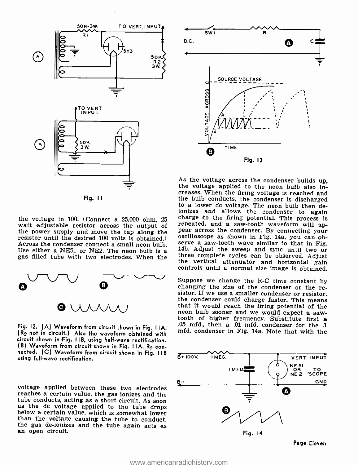

Fig. <sup>11</sup>

watt adjustable resistor across the output of the power supply and move the tap along the resistor until the desired 100 volts is obtained.) oscilloscope as shown in Fig. 14a, you can ob-<br>Across the condenser connect a small neon bulb. Serve a saw-tooth wave similar



Fig. 12. (A) Waveform from circuit shown in Fig. I IA. (R2 not in circuit.) Also the waveform obtained with circuit shown in Fig. 11B, using half-wave rectification.<br>(B) Waveform from circuit shown in Fig. 11A, R<sub>2</sub> connected. (C) Waveform from circuit shown in Fig. I IB using full-wave rectification.

voltage applied between these two electrodes<br>reaches a certain value, the gas ionizes and the<br>tube conducts, acting as a short circuit. As soon<br>as the dc voltage applied to the tube drops<br>below a certain value, which is so



the voltage to 100. (Connect a  $25,000$  ohm,  $25$  charge to the firing potential. This process is watt adjustable resistor across the output of repeated, and a saw-tooth waveform will ap-As the voltage across the condenser builds up, the voltage applied to the neon bulb also increases. When the firing voltage is reached and the bulb conducts, the condenser is discharged to a lower dc voltage. The neon bulb ionizes and allows the condenser to again charge to the firing potential. This process is pear across the condenser. By connecting your<br>oscilloscope as shown in Fig. 14a, you can ob-<br>serve a saw-tooth wave similar to that in Fig.<br>14b. Adjust the sweep and sync until two or<br>three complete cycles can be observed.

> Suppose we change the R-C time constant by changing the size of the condenser or the resistor. If we use a smaller condenser or resistor, the condenser could charge faster. This means that it would reach the firing potent .05 mfd., then a .01 mfd. condenser for the .1 mfd. condenser in Fig. 14a. Note that with the

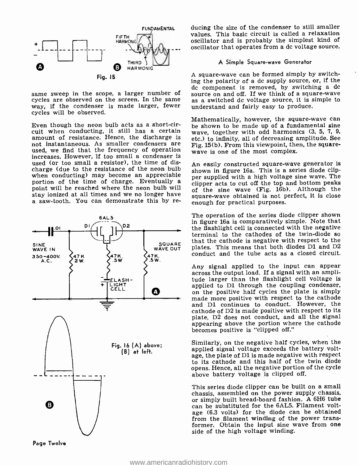

way, if the condenser is made larger, fewer cycles will be observed.

Even though the neon bulb acts as a short-circuit when conducting, it still has a certain amount of resistance. Hence, the discharge is not instantaneous. As smaller condensers are  $\overline{Fig. 15(b)}$ . From this viewpoint, the used, we find that the frequency of operation wave is one of the most complex. used, we find that the frequency of operation increases. However, if too small a condenser is used (or too small a resistor), the time of discharge (due to the resistance of the neon bulb when conducting) may become an appreciable portion of the time of charge. Eventually a point will be reached where the neon bulb will stay ionized at all times and we no longer have a saw -tooth. You can demonstrate this by re-



ducing the size of the condenser to still smaller values. This basic circuit is called a relaxation oscillator and is probably the simplest kind of oscillator that operates from a dc voltage source.

#### A Simple Square -wave Generator

same sweep in the scope, a larger number of decomponent is removed, by switching a dc<br>cycles are observed on the screen. In the same as a switched dc voltage source, it is simple to A square -wave can be formed simply by switching the polarity of a dc supply source, or, if the as a switched dc voltage source, it is simple to understand and fairly easy to produce.

> Mathematically, however, the square-wave can be shown to be made up of a fundamental sine wave, together with odd harmonics (3, 5, 7, 9, etc.) to infinity, all of decreasing amplitude. See Fig. 15(b). From this viewpoint, then, the square-

> An easily constructed square-wave generator is shown in figure 16a. This is a series diode clipper supplied with a high voltage sine wave. The clipper acts to cut off the top and bottom peaks of the sine wave (Fig. 16b). Although the square -wave obtained is not perfect, it is close enough for practical purposes.

SQUARE that the cathode is negative with respect to the<br>wave out plates. This means that both diodes D1 and D2 The operation of the series diode clipper shown in figure 16a is comparatively simple. Note that the flashlight cell is connected with the negative terminal to the cathodes of the twin-diode so plates. This means that both diodes Dl and D2 conduct and the tube acts as a closed circuit.

> Any signal applied to the input can appear across the output load. If a signal with an amplitude larger than the flashlight cell voltage is<br>applied to D1 through the coupling condenser, on the positive half cycles the plate is simply made more positive with respect to the cathode and Dl continues to conduct. However, the cathode of D2 is made positive with respect to its plate, D2 does not conduct, and all the signal appearing above the portion where the cathode becomes positive is "clipped off."

> Similarly, on the negative half cycles, when the applied signal voltage exceeds the battery voltage, the plate of Dl is made negative with respect to its cathode and this half of the twin diode opens. Hence, all the negative portion of the cycle above battery voltage is clipped off.

> This series diode clipper can be built on a small chassis, assembled on the power supply chassis, or simply built bread-board fashion. A 6H6 tube can be substituted for the 6AL5. Filament voltage (6.3 volts) for the diode can be obtained from the filament winding of the power transformer. Obtain the input sine wave from one side of the high voltage winding.

Page Twelve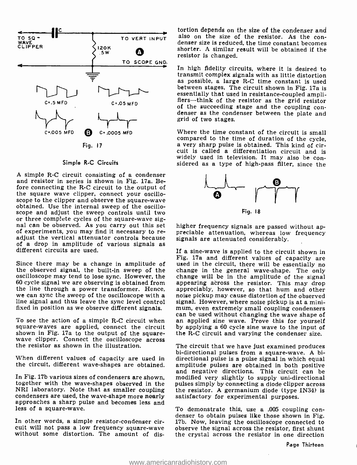

#### Simple R-C Circuits

A simple R-C circuit consisting of a condenser and resistor in series is shown in Fig. 17a. Before connecting the R-C circuit to the output of the square wave clipper, connect your oscilloscope to the clipper and observe the square-wave obtained. Use the internal sweep of the oscillo-scope and adjust the sweep controls until two or three complete cycles of the square-wave sig-<br>nal can be observed. As you carry out this set higher frequency signals are passed without ap-<br>of experiments, you may find it necessary to re- preciable attenuation, wherea adjust the vertical attenuator controls because signals are attenuated considerably. of a drop in amplitude of various signals as different circuits are used.

Since there may be a change in amplitude of used in the circuit, there will be essentially no the observed signal, the built-in sweep of the change in the general wave-shape. The only the observed signal, the built-in sweep of the change in the general wave-shape. The only oscilloscope may tend to lose sync. However, the change will be in the amplitude of the signal oscilloscope may tend to lose sync. However, the 60 cycle signal we are observing is obtained from appearing across the resistor. This may drop the line through a power transformer. Hence, appreciably, however, so that hum and other we can sync the sweep of the oscilloscope with a line signal and thus leave the sync level control

square -waves are applied, connect the circuit shown in Fig. 17a to the output of the square-wave clipper. Connect the oscilloscope across the resistor as shown in the illustration.

condensers are used, the wave-shape more nearly satisfactory for experimental purposes.<br>approaches a sharp pulse and becomes less and  $\frac{1}{10}$  demonstrate this, use a .005 coupling conless of a square-wave.

In other words, a simple resistor-condenser cir-<br>cuit will not pass a low frequency square-wave without some distortion. The amount of dis-

TO VERT INPUT also on the size of the resistor. As the contortion depends on the size of the condenser and denser size is reduced, the time constant becomes shorter. A similar result will be obtained if the resistor is changed.

> In high fidelity circuits, where it is desired to transmit complex signals with as little distortion as possible, a large R -C time constant is used between stages. The circuit shown in Fig. 17a is essentially that used in resistance-coupled ampli-<br>fiers—think of the resistor as the grid resistor of the succeeding stage and the coupling con- denser as the condenser between the plate and grid of two stages.

> Where the time constant of the circuit is small compared to the time of duration of the cycle, a very sharp pulse is obtained. This kind of circuit is called a differentiation circuit and is<br>widely used in television. It may also be considered as a type of high-pass filter, since the



preciable attenuation, whereas low frequency

fixed in position as we observe different signals. mum, even extremely small coupling condensers<br>can be used without changing the wave shape of To see the action of a simple R-C circuit when an applied sine wave. Prove this for yourself square-waves are applied, connect the circuit by applying a 60 cycle sine wave to the input of If a sine-wave is applied to the circuit shown in Fig. 17a and different values of capacity are appearing across the resistor. This may drop noise pickup may cause distortion of the observed signal. However, where noise pickup is at a minimum, even extremely small coupling condensers the R-C circuit and varying the condenser size.

When different values of capacity are used in directional pulse is a pulse signal in which equal the circuit, different wave-shapes are obtained. amplitude pulses are obtained in both positive the circuit, different wave-shapes are obtained. amplitude pulses are obtained in both positive<br>and negative directions. This circuit can be In Fig. 17b various sizes of condensers are shown, modified very slightly to supply uni-directional<br>together with the wave-shapes observed in the pulses simply by connecting a diode clipper across<br>NRI laboratory. Note that The circuit that we have just examined produces bi- directional pulses from a square -wave. A bidirectional pulse is a pulse signal in which equal modified very slightly to supply uni-directional the resistor. A germanium diode (type IN34) is satisfactory for experimental purposes.

> denser to obtain pulses like those shown in Fig. 17b. Now, leaving the oscilloscope connected to observe the signal across the resistor, first shunt the crystal across the resistor in one direction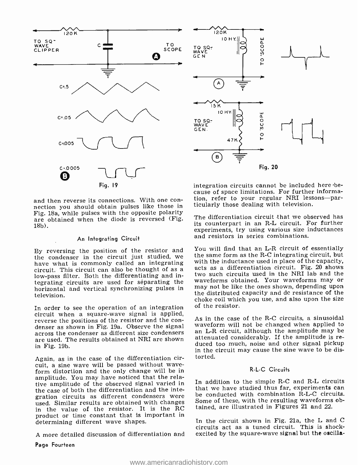

and then reverse its connections. With one con- nection you should obtain pulses like those in Fig. 18a, while pulses with the opposite polarity are obtained when the diode is reversed (Fig. 18b).

#### An Integrating Circuit

By reversing the position of the resistor and the condenser in the circuit just studied, we have what is commonly called an integrating circuit. This circuit can also be thought of as a low -pass filter. Both the differentiating and integrating circuits are used for separating the waveforms obtained. Your waveforms may or<br>horizontal and vertical synchronizing pulses in may not be like the ones shown, depending upon horizontal and vertical synchronizing pulses in television.

In order to see the operation of an integration circuit when a square-wave signal is applied, reverse the positions of the resistor and the condenser as shown in Fig. 19a. Observe the signal waveform will not be changed when applied to across the condenser as different size condensers an L-R circuit, although the amplitude may be an across the condenser as differ are used. The results obtained at NRI are shown in Fig. 19b.

Again, as in the case of the differentiation circuit, a sine wave will be passed without wave- form distortion and the only change will be in amplitude. You may have noticed that the relative amplitude of the observed signal varied in In addition to the simple R-C and R-L circuits<br>the case of both the differentiation and the inte-<br>that we have studied thus far, experiments can the case of both the differentiation and the integration circuits as different condensers were used. Similar results are obtained with changes in the value of the resistor. It is the RC product or time constant that is important in determining different wave shapes.

A more detailed discussion of differentiation and

Page Fourteen



integration circuits cannot be included here 'be- cause of space limitations. For further information, refer to your regular NRI lessons-particularly those dealing with television.

The differentiation circuit that we observed has its counterpart in an R-L circuit. For further experiments, try using various size inductances and resistors in series combinations.

You will find that an L-R circuit of essentially the same form as the  $R$ -C integrating circuit, but with the inductance used in place of the capacity, acts as a differentiation circuit. Fig. 20 shows two such circuits used in the NRI lab and the waveforms obtained. Your waveforms may or the distributed capacity and dc resistance of the choke coil which you use, and also upon the size of the resistor.

As in the case of the R-C circuits, a sinusoidal waveform will not be changed when applied to duced too much, noise and other signal pickup in the circuit may cause the sine wave to be distorted.

### <sup>R</sup>-L -C Circuits

In addition to the simple R-C and R-L circuits be conducted with combination R-L-C circuits. Some of these, with the resulting waveforms obtained, are illustrated in Figures 21 and 22.

In the circuit shown in Fig. 21a, the L and C circuits act as a tuned circuit. This is shockexcited by the square-wave signal but the oscilla-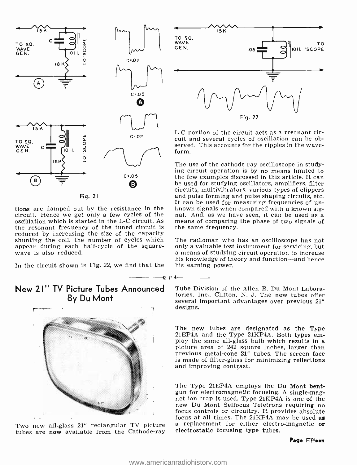

Fig. 21

circuit. Hence we get only a few cycles of the  $\mu$  nal. And, as we have seen, it can be used as a oscillation which is started in the L-C circuit. As means of comparing the phase of two signals of oscillation which is started in the L-C circuit. As the resonant frequency of the tuned circuit is reduced by increasing the size of the capacity shunting the coil, the number of cycles which The radioman who has an oscilloscope has not appear during each half-cycle of the square-<br>appear during each half-cycle of the square- only a valuable test instrument for servi appear during each half-cycle of the square-<br>wave is also reduced.

In the circuit shown in Fig. 22, we find that the

## New 21" TV Picture Tubes Announced By Du Mont



tubes are now available from the Cathode-ray



L-C portion of the circuit acts as a resonant circuit and several cycles of oscillation can be observed. This accounts for the ripples in the wave-<br>form.

It can be used for measuring frequencies of untions are damped out by the resistance in the known signals when compared with a known sig-The use of the cathode ray oscilloscope in study-<br>ing circuit operation is by no means limited to<br>the few examples discussed in this article. It can be used for studying oscillators, amplifiers, filter circuits, multivibrators, various types of clippers and pulse forming and pulse shaping circuits, etc. nal. And, as we have seen, it can be used as a the same frequency.

> The radioman who has an oscilloscope has not a means of studying circuit operation to increase his knowledge of theory and function—and hence his earning power.

> Tube Division of the Allen B. Du Mont Laboratories, Inc., Clifton, N. J. The new tubes offer several important advantages over previous 21" designs.

> The new tubes are designated as the Type 21EP4A and the Type 21KP4A. Both types employ the same all-glass bulb which results in a picture area of 242 square inches, larger than previous metal-cone 21" tubes. The screen face is made of filter-glass for minimizing reflections and improving contrast.

Two new all-glass  $21''$  rectangular TV picture a replacement for either electro-magnetic or tubes. The Type 21EP4A employs the Du Mont bent-<br>gun for electromagnetic focusing. A single-magnet ion trap is used. Type 21KP4A is one of the<br>new Du Mont Selfocus Teletrons requiring no<br>focus controls or circuitry. It provides a focus at all times. The  $21KP4A$  may be used as

n r i $\overline{\phantom{a}}$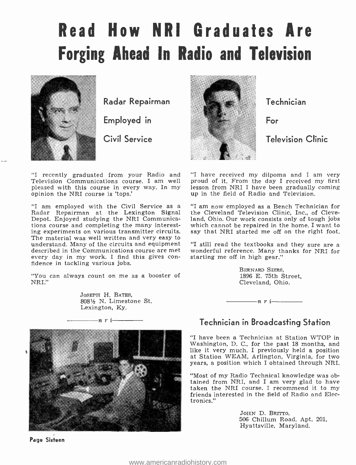# Read How NRI Graduates Are Forging Ahead In Radio and Television



Radar Repairman

Employed in

Civil Service

"I recently graduated from your Radio and "I have received my dilpoma and I am very Television Communications course. I am well pleased with this course in every way. In my opinion the NRI course is 'tops.'

"I am employed with the Civil Service as a Radar Repairman at the Lexington Signal Depot. Enjoyed studying the NRI Communications course and completing the many interesting experiments on various transmitter circuits. The material was well written and very easy to<br>understand. Many of the circuits and equipment - "I still read the textbooks and they sure are a understand. Many of the circuits and equipment described in the Communications course are met every day in my work. I find this gives con- fidence in tackling various jobs.

"You can always count on me as a booster of NRI."

> JOSEPH H. BATES, 808% N. Limestone St. Lexington, Ky.







Technician

For

Television Clinic

proud of it. From the day I received my first lesson from NRI I have been gradually coming up in the field of Radio and Television.

"I am now employed as a Bench Technician for the Cleveland Television Clinic, Inc., of Cleveland, Ohio. Our work consists only of tough jobs which cannot be repaired in the home. I want to say that NRI started me off on the right foot.

wonderful reference. Many thanks for NRI for starting me off in high gear."

> BERNARD BIERS, 1896 E. 75th Street, Cleveland, Ohio.



# Technician in Broadcasting Station

"I have been a Technician at Station WTOP in Washington, D. C., for the past 18 months, and like it very much. I previously held a position at Station WEAM, Arlington, Virginia, for two years, a position which I obtained through NRI.

"Most of my Radio Technical knowledge was obtained from NRI, and I am very glad to have taken the NRI course. I recommend it to my friends interested in the field of Radio and Electronics."

> JOHN D. BRITTO, 506 Chillum Road, Apt. 201, Hyattsville, Maryland.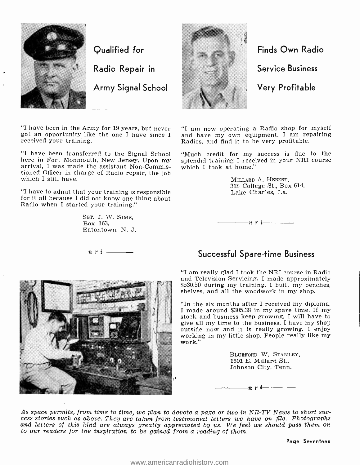

Qualified for

Radio Repair in

Army Signal School

"I have been in the Army for 19 years, but never got an opportunity like the one I have since <sup>I</sup> received your training.

"I have been transferred to the Signal School arrival, I was made the assistant Non-Commissioned Officer in charge of Radio repair, the job which I still have.

"I have to admit that your training is responsible for it all because I did not know one thing about Radio when I started your training."

> SGT. J. W. SIMS, Box 163, Eatontown, N. J.

 $-\eta$  r i  $-\eta$ 



Finds Own Radio

Service Business

Very Profitable

"I am now operating a Radio shop for myself and have my own equipment. I am repairing Radios, and find it to be very profitable.

"Much credit for my success is due to the splendid training I received in your NRI course which I took at home."

> MILLARD A. HEBERT, 318 College St., Box 614, Lake Charles, La.

# Successful Spare -time Business

 $\frac{1}{\sqrt{n}}$   $\frac{n}{i}$ 

"I am really glad I took the NRI course in Radio and Television Servicing. I made approximately \$530.50 during my training. I built my benches, shelves, and all the woodwork in my shop.

"In the six months after I received my diploma, I made around \$305.38 in my spare time. If my stock and business keep growing, I will have to give all my time to the business. I have my shop outside now and it is really growing. I enjoy working in my little shop. People really like my work."

> BLUEFORD W. STANLEY, 1601 E. Millard St., Johnson City, Tenn.

n  $\mathbf{r}$  i

As space permits, from time to time, we plan to devote a page or two in NR-TV News to short success stories such as above. They are taken from testimonial letters we have on file. Photographs and letters of this kind are a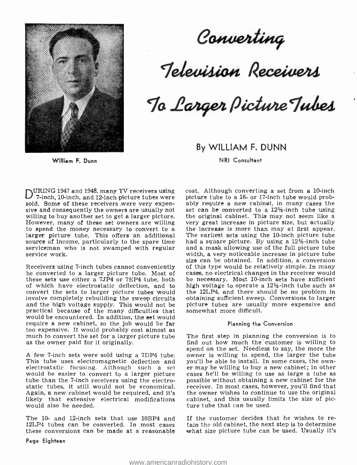

William F. Dunn

Converting

Television Receivers

To Larger Picture Tubes

By WILLIAM F. DUNN

NRI Consultant

URING 1947 and 1948, many TV receivers using<br>7-inch, 10-inch, and 12-inch picture tubes were sold. Some of these receivers were very expensive and consequently the owners are usually not set can be converted to a  $12\frac{1}{2}$ -inch tube using willing to buy another set to get a larger picture. the original cabinet. This may not seem like a However, many of these set owners are willing very great increase in picture size, but actually to spend the money necessary to convert to a the increase is more than may at first appear. larger picture tube. This offers an additional The earliest sets using the 10-inch picture tube source of income, particularly to the spare time had a square picture. By using a  $12\frac{1}{2}$ -inch tube serviceman who is not swamped with regular service work.

Receivers using 7 -inch tubes cannot conveniently be converted to a larger picture tube. Most of these sets use either a 7TP4 or 7EP4 tube, both of which have electrostatic deflection, and to high voltage to operate a  $12\frac{1}{2}$ -inch tube such as convert the sets to larger picture tubes would the 12LP4, and there should be no problem in convert the sets to larger picture tubes would involve completely rebuilding the sweep circuits obtaining sufficient sweep. Conversions to larger<br>and the high voltage supply. This would not be picture tubes are usually more expensive and and the high voltage supply. This would not be practical because of the many difficulties that would be encountered. In addition, the set would require a new cabinet, so the job would be far too expensive. It would probably cost almost as much to convert the set for a larger picture tube as the owner paid for it originally.

A few 7-inch sets were sold using a 7DP4 tube. owner is willing to spend, the larger the tube<br>This tube uses electromagnetic deflection and you'll be able to install. In some cases, the own-This tube uses electromagnetic deflection and you'll be able to install. In some cases, the own-<br>electrostatic focusing. Although such a set er may be willing to buy a new cabinet; in other electrostatic focusing. Although such a set would be easier to convert to a larger picture tube than the 7-inch receivers using the electrostatic tubes, it still would not be economical. Again, a new cabinet would be required, and it's likely that extensive electrical modifications would also be needed.

these conversions can be made at a reasonable

Page Eighteen

cost. Although converting a set from a 10 -inch picture tube to a 16- or 17 -inch tube would probably require a new cabinet, in many cases the the original cabinet. This may not seem like a had a square picture. By using a 12% -inch tube and a mask allowing use of the full picture tube width, a very noticeable increase in picture tube size can be obtained. In addition, a conversion of this type would be relatively simple. In many cases, no electrical changes in the receiver would be necessary. Most 10-inch sets have sufficient high voltage to operate a  $12\frac{1}{2}$ -inch tube such as obtaining sufficient sweep. Conversions to larger somewhat more difficult.

#### Planning the Conversion

The first step in planning the conversion is to find out how much the customer is willing to spend on the set. Needless to say, the more the owner is willing to spend, the larger the tube cases he'll be willing to use as large a tube as possible without obtaining a new cabinet for the receiver. In most cases, however, you'll find that the owner wishes to continue to use the original cabinet, and this usually limits the size of picture tube that can be used.

The 10- and 12-inch sets that use 10BP4 and If the customer decides that he wishes to re-<br>12LP4 tubes can be converted. In most cases tain the old cabinet, the next step is to determine If the customer decides that he wishes to rewhat size picture tube can be used. Usually it's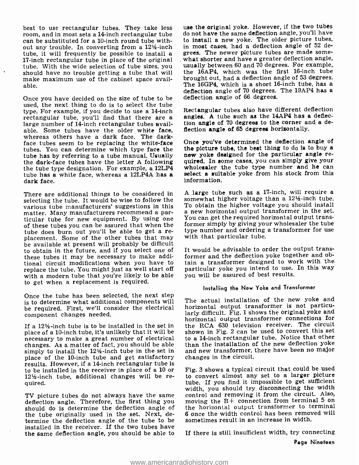best to use rectangular tubes. They take less room, and in most sets a 14-inch rectangular tube can be substituted for a 10-inch round tube without any trouble. In converting from a 12½-inch in most cases, had a deflection angle of 52 de-<br>tube it will frequently be possible to install a grees. The newer picture tubes are made sometube, it will frequently be possible to install a<br>17-inch rectangular tube in place of the original tube. With the wide selection of tube sizes, you should have no trouble getting a tube that will make maximum use of the cabinet space available.

Once you have decided on the size of tube to be deflection angle of 66 degrees. used, the next thing to do is to select the tube type. For example, if you decide to use a 14 -inch rectangular tube, you'll find that there are a large number of 14-inch rectangular tubes available. Some tubes have the older white face, whereas others have a dark face. The dark-<br>face tubes seem to be replacing the white-face Once you've determined the deflection angle of<br>tubes. You can determine which type face the the picture tube, the best thing to do i tubes. You can determine which type face the tube has by referring to a tube manual. Usually new yoke designed for the particular angle re-<br>the dark-face tubes have the letter A following quired. In some cases, you can simply give your the tube type designation. For example, a 12LP4 wholes aler the tube type number and he can<br>tube has a white face whereas a 12LP4A has a select a suitable yoke from his stock from this tube has a white face, whereas a 12LP4A has a dark face.

There are additional things to be considered in  $\alpha$  and  $\alpha$  and  $\alpha$  as a 17-inch, will require a relative than a 12½-inch tube. selecting the tube. It would be wise to follow the somewhat higher voltage than a  $12\frac{1}{2}$ -inch tube.<br>various tube manufacturers' suggestions in this To obtain the higher voltage you should install various tube manufacturers' suggestions in this matter. Many manufacturers recommend a par-<br>ticular tube for new equipment. By using one of these tubes you can be assured that when the<br>tube does burn out you'll be able to get a replacement. Some of the other tubes that may with that particular tube. be available at present will probably be difficult to obtain in the future, and if you select one of these tubes it may be necessary to make additional circuit modifications when you have to replace the tube. You might just as well start off with a modern tube that you're likely to be able to get when a replacement is required.

Once the tube has been selected, the next step is to determine what additional components will be required. First, we'll consider the electrical component changes needed.

If a 12% -inch tube is to be installed in the set in place of a 10 -inch tube, it's unlikely that it will be necessary to make a great number of electrical changes. As a matter of fact, you should be able simply to install the 12% -inch tube in the set in place of the 10-inch tube and get satisfactory results. However, if a 14 -inch rectangular tube is to be installed in the receiver in place of a 10 or 12% -inch tube, additional changes will be re- quired.

TV picture tubes do not always have the same control and removing it from the circuit. Also,<br>deflection angle. Therefore, the first thing you moving the B+ connection from terminal 5 on should do is determine the deflection angle of the tube originally used in the set. Next, determine the deflection angle of the tube to be installed in the receiver. If the two tubes have the same deflection angle, you should be able to

use the original yoke. However, if the two tubes do not have the same deflection angle, you'll have to install a new yoke. The older picture tubes, in most cases, had a deflection angle of 52 dewhat shorter and have a greater deflection angle, usually between 60 and 70 degrees. For example, the 16AP4, which was the first 16-inch tube brought out, had a deflection angle of 53 degrees. The 16GP4, which is a short 16-inch tube, has a deflection angle of 70 degrees. The 19AP4 has a

Rectangular tubes also have different deflection angles. A tube such as the 14AP4 has a deflection angle of 70 degrees to the corner and a deflection angle of 65 degrees horizontally.

Once you've determined the deflection angle of new yoke designed for the particular angle rewholes aler the tube type number and he can information.

A large tube such as a 17-inch, will require a a new horizontal output transformer in the set. You can get the required horizontal output transformer simply by giving your wholesaler the tube type number and ordering a transformer for use.

It would be advisable to order the output transformer and the deflection yoke together and obtain a transformer designed to work with the particular yoke you intend to use. In this way you will be assured of best results.

#### Installing the New Yoke and Transformer

The actual installation of the new yoke and horizontal output transformer is not particularly difficult. Fig. 1 shows the original yoke and horizontal output transformer connections for the RCA 630 television receiver. The circuit shown in Fig. 2 can be used to convert this set to a 14 -inch rectangular tube. Notice that other than the installation of the new deflection yoke and new transformer, there have been no major changes in the circuit.

Fig. 3 shows a typical circuit that could be used to convert almost any set to a larger picture tube. If you find it impossible to get sufficient width, you should try disconnecting the width control and removing it from the circuit. Also, the horizontal output transformer to terminal <sup>6</sup>once the width control has been removed will sometimes result in an increase in width.

If there is still insufficient width, try connecting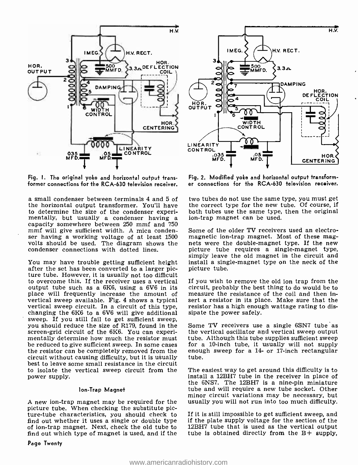



Fig. I. The original yoke and horizontal output transformer connections for the RCA -630 television receiver.

the horizontal output transformer. You'll have<br>to determine the size of the condenser experimentally, but usually a condenser having a capacity somewhere between 250 mmf and 750 mmf will give sufficient width. A mica conden- ser having a working voltage of at least <sup>1500</sup> volts should be used. The diagram shows the nets were the double-magnet type. If the new condenser connections with dotted lines. <br>condenser connections with dotted lines. picture tube requires a single-magnet type. condenser connections with dotted lines.

You may have trouble getting sufficient height after the set has been converted to a larger picture tube. However, it is usually not too difficult to overcome this. If the receiver uses a vertical output tube such as a 6K6, using a 6V6 in its place will frequently increase the amount of vertical sweep available. Fig. 4 shows a typical vertical sweep circuit. In a circuit of this type, changing the 6K6 to a 6V6 will give additional sweep. If you still fail to get sufficient sweep,<br>you should reduce the size of R179, found in the - Some TV receivers use a single 6SN7 tube as screen-grid circuit of the 6K6. You can experi-<br>mentally determine how much the resistor must tube. Although this tube supplies sufficient sweep<br>be reduced to give sufficient sweep. In some cases for a 10-inch tube, it usu the resistor can be completely removed from the enoughtical controller causing difficulty, but it is usually tube. circuit without causing difficulty, but it is usually best to leave some small resistance in the circuit to isolate the vertical sweep circuit from the power supply.

#### Ion -Trap Magnet

A new ion -trap magnet may be required for the picture tube. When checking the substitute picture -tube characteristics, you should check to find out whether it uses a single or double type if the plate supply voltage for the section of the of ion-trap magnet. Next, check the old tube to  $12BH7$  tube that is used as the vertical output of ion -trap magnet. Next, check the old tube to find out which type of magnet is used, and if the

Fig. 2. Modified yoke and horizontal output transform er connections for the RCA-630 television receiver.

a small condenser between terminals 4 and 5 of two tubes do not use the same type, you must get the correct type for the new tube. Of course, if both tubes use the same type, then the original ion -trap magnet can be used.

> Some of the older TV receivers used an electromagnetic ion -trap magnet. Most of these magnets were the double-magnet type. If the new simply leave the old magnet in the circuit and install a single-magnet type on the neck of the picture tube.

> If you wish to remove the old ion trap from the circuit, probably the best thing to do would be to measure the resistance of the coil and then insert a resistor in its place. Make sure that the resistor has a high enough wattage rating to dissipate the power safely.

> enough sweep for a 14- or 17-inch rectangular

The easiest way to get around this difficulty is to install a 12BH7 tube in the receiver in place of the 6NS7. The 12BH7 is a nine -pin miniature tube and will require a new tube socket. Other minor circuit variations may be necessary, but usually you will not run into too much difficulty.

If it is still impossible to get sufficient sweep, and if the plate supply voltage for the section of the tube is obtained directly from the  $B+$  supply,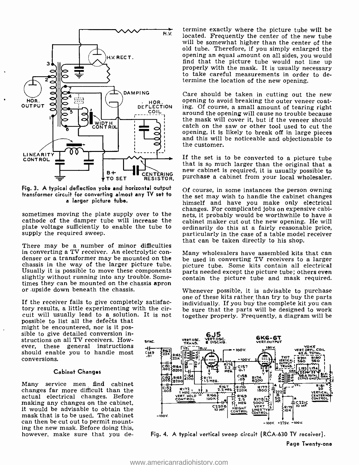

Fig. 3. A typical deflection yoke and horizontal output Of course, in some instances the person owning transformer circuit for converting almost any TV set to a larger picture tube.

sometimes moving the plate supply over to the cathode of the damper tube will increase the cabinet maker cut out the new opening. He will plate voltage sufficiently to enable the tube to supply the required sweep.

There may be a number of minor difficulties<br>in converting a TV receiver. An electrolytic condenser or a transformer may be mounted on the larged in converting TV receivers to a larger chassis in the way of the larger picture tube. Some kits contain all electrical chassis in the way of the larger picture tube. Usually it is possible to move these components slightly without running into any trouble. Sometimes they can be mounted on the chassis apron or upside down beneath the chassis.

If the receiver fails to give completely satisfactory results, a little experimenting with the circuit will usually lead to a solution. It is not

possible to list all the defects that might be encountered, nor is it possible to give detailed conversion instructions on all TV receivers. However, these general instructions should enable you to handle most conversions.

#### Cabinet Changes

Many service men find cabinet changes far more difficult than the actual electrical changes. Before making any changes on the cabinet, it would be advisable to obtain the mask that is to be used. The cabinet can then be cut out to permit mounting the new mask. Before doing this, however, make sure that you de-

termine exactly where the picture tube will be located. Frequently the center of the new tube will be somewhat higher than the center of the old tube. Therefore, if you simply enlarged the opening an equal amount on all sides, you would properly with the mask. It is usually necessary to take careful measurements in order to determine the location of the new opening.

HOR. Opening to avoid breaking the outer veneer coat-<br>DEFLECTION ing. Of course, a small amount of tearing right Care should be taken in cutting out the new around the opening will cause no trouble because the mask will cover it, but if the veneer should catch on the saw or other tool used to cut the opening, it is likely to break off in large pieces and this will be noticeable and objectionable to the customer.

new cabinet is required, it is usually possible to If the set is to be converted to a picture tube that is so much larger than the original that a purchase a cabinet from your local wholesaler.

> the set may wish to handle the cabinet changes<br>himself and have you make only electrical changes. For complicated jobs on expensive cabinets, it probably would be worthwhile to have a ordinarily do this at a fairly reasonable price, particularly in the case of a table model receiver that can be taken directly to his shop.

> Many wholesalers have assembled kits that can parts needed except the picture tube; others even contain the picture tube and mask required.

> Whenever possible, it is advisable to purchase one of these kits rather, than try to buy the parts individually. If you buy the complete kit you can be sure that the parts will be designed to work together properly. Frequently, a diagram will be



Fig. 4. A typical vertical sweep circuit (RCA -630 TV receiver).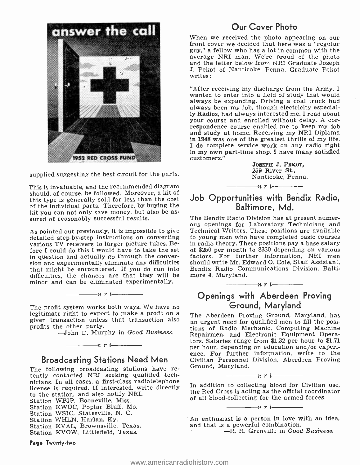

supplied suggesting the best circuit for the parts.

This is invaluable, and the recommended diagram should, of course, be followed. Moreover, a kit of this type is generally sold for less than the cost of the individual parts. Therefore, by buying the kit you can not only save money, but also be as- sured of reasonably successful results.

As pointed out previously, it is impossible to give detailed step-by-step instructions on converting to young men who have completed basic courses<br>various TV receivers to larger picture tubes, Be- in radio theory. These positions pay a base salary various TV receivers to larger picture tubes. Before I could do this I would have to take the set in question and actually go through the conver- factors. For further information, NRI men<br>sion and experimentally eliminate any difficulties should write Mr. Edward O. Cole, Staff Assistant, that might be encountered. If you do run into Bendix Radio Cordifficulties, the chances are that they will be more 4, Maryland. difficulties, the chances are that they will be minor and can be eliminated experimentally.

The profit system works both ways. We have no<br>
legitimate right to expect to make a profit on a<br>
given transaction unless that transaction also<br>
an urgent need for qualified men to fill the posi-<br>
rions of Badio Mechanic

 $\frac{\ }{\ }$  n r i  $\frac{\ }{\ }$ 

-John D. Murphy in Good Business.

# $\frac{1}{\sqrt{n}}$   $\frac{n}{i}$ Broadcasting Stations Need Men<br>The following broadcasting stations have re-

cently contacted NRI seeking qualified technicians. In all cases, a first -class radiotelephone license is required. If interested, write directly to the station, and also notify NRI. Station WBIP, Booneville, Miss. Station KWOC, Poplar Bluff, Mo.

- Station WSIC, Statesville, N. C.
- Station WHLN, Harlan, Ky.
- Station KVAL, Brownsville, Texas. Station KVOW, Littlefield, Texas.
- 

Page Twenty -two

# Our Cover Photo

front cover we decided that here was a "regular guy," a fellow who has a lot in common with the average NRI man. We're proud of the photo and the letter below from NRI Graduate Joseph J. Pekot of Nanticoke, Penna. Graduate Pekot writes:

"After receiving my discharge from the Army, I wanted to enter into a field of study that would always be expanding. Driving a coal truck had always been my job, though electricity especially Radios, had always interested me. I read about respondence course enabled me to keep my job and study at home. Receiving my NRI Diploma in 1948 was one of the greatest thrills of my life. I do complete service work on any radio right in my own part-time shop. I have many satisfied customers."

JOSEPH J. PEKOT, 259 River St., Nanticoke, Penna.<br> $\frac{n}{r}$ i

# Job Opportunities with Bendix Radio, Baltimore, Md.

The Bendix Radio Division has at present numer- ous openings for Laboratory Technicians and Technical Writers. These positions are available to young men who have completed basic courses of \$250 per month to \$330 depending on various factors. For further information, NRI men Bendix Radio Communications Division, Balti-

# Openings with Aberdeen Proving Ground, Maryland

 $\frac{1}{n}$  r i

an urgent need for qualified men to fill the positions of Radio Mechanic, Computing Machine Repairmen, and Electronic Equipment Operators. Salaries range from \$1.32 per hour to \$1.71 per hour, depending on education and/or experiper hour, depending on education and/or experi-<br>ence. For further information, write to the<br>Civilian Personnel Division, Aberdeen Proving Ground, Maryland.<br> $\frac{1}{1-\frac{1}{1-\frac{1}{1-\frac{1}{1-\frac{1}{1-\frac{1}{1-\frac{1}{1-\frac{1}{1-\frac{1}{1-\frac{1}{1-\frac{1}{1-\frac{1}{1-\frac{1}{1-\frac{1}{1-\frac{1}{1-\frac{1}{1-\frac{1}{1-\frac{1}{1-\frac{1}{1-\frac{1}{1-\frac{1}{1-\frac{1}{1-\frac{1}{1-\frac{1}{1-\frac{1}{1-\frac{1}{1-\frac{1}{1-\frac{1}{1-\frac{1}{1-\frac{1}{1-\frac{1}{1-\frac{1}{1-\frac{1}{1-\frac{1$ 

In addition to collecting blood for Civilian use, the Red Cross is acting as the official coordinator of all blood -collecting for the armed forces.

An enthusiast is a person in love with an idea, and that is a powerful combination.

 $\frac{1}{\sqrt{n}}$ n r i

-R. H. Grenville in Good Business.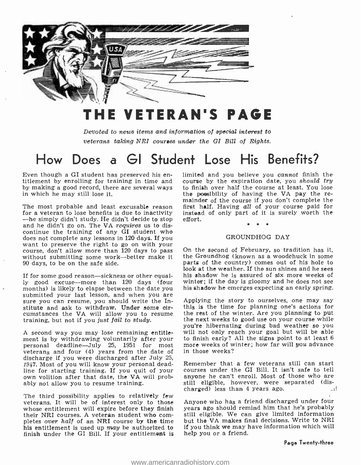

# THE VETERAN'S PAGE

Devoted to news items and information of special interest to veterans taking NRI courses under the GI Bill of Rights.

# How Does a GI Student Lose His Benefits?

by making a good record, there are several ways to finish over half the course at least. You lose<br>in which he may still lose it. the possibility of having the VA pay the rein which he may still lose it.

The most probable and least excusable reason for a veteran to lose benefits is due to inactivity  $-$ he simply didn't study. He didn't decide to stop and he didn't go on. The VA *requires* us to discontinue the training of any GI student who does not complete any lessons in 120 days. If you want to preserve the right to go on with your course, don't allow more than  $\overline{120}$  days to pass On the second of February, so tradition has it, without submitting some work--better make it the Groundhog (known as a woodchuck in some 90 days, to be on the safe side.

If for some good reason—sickness or other equally good excuse—more than 120 days (four winter; if the day is gloomy and he does not see<br>months) is likely to elapse between the date you submitted your last lesson, and when you are<br>submitted your last lesson, and when yo sure you can resume, you should write the Institute and ask to withdraw. Under some oircumstances the VA will allow you to resume training, but not if you just fail to study.

A second way you may lose remaining entitle-<br>ment is by withdrawing voluntarily after your ment is by withdrawing voluntarily after your to finish early? All the signs point to at least 6 personal deadline --July 25, 1951 for most more weeks of winter; how far will you advance veterans and four (4) years from the date of discharge if you were discharged after July 25,<br>1947 Most of you will know your personal dead- Remember, that a few veterans still can start 1947. Most of you will know your personal deadline for starting training. If you quit of your own volition after that date, the VA will probably not allow you to resume training.

The third possibility applies to relatively few veterans. It will be of interest only to those whose entitlement will expire before they finish<br>their NRI courses. A veteran student who completes over half of an NRI course by the time his entitlement is used up may be authorized to finish under the GI Bill. If your entitlement is

Even though a GI student has preserved his en-<br>titlement by enrolling for training in time and<br>course by the expiration date, you should try limited and you believe you cannot finish the to finish over half the course at least. You lose mainder of the course if you don't complete the first half. Having all of your course paid for instead of only part of it is surely worth the effort.

# GROUNDHOG DAY

On the second of February, so tradition has it, parts of the country) comes out of his hole to look at the weather. If the sun shines and he sees his shadow he is assured of six more weeks of his shadow he emerges expecting an early spring.

this is the time for planning one's actions for<br>the rest of the winter, Are you planning to put the next weeks to good use on your course while you're hibernating during bad weather so you will not only reach your goal but will be able more weeks of winter; how far will you advance in those weeks?

courses under the GI Bill. It isn't safe to tell anyone he can't enroll. Most of those who are still eligible, however, were separated (dis-<br>charged) less than 4 years ago. charged) less than 4 years ago.

Anyone who has a friend discharged under four years ago should remind him that he's probably still eligible. We can give limited information but the VA makes final decisions. Write to NRI if you think we may have information which will help you or a friend.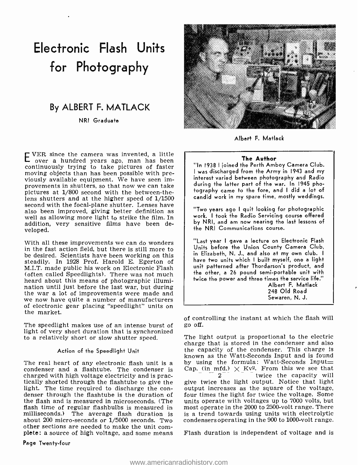# Electronic Flash Units for Photography

# By ALBERT F. MATLACK

NRI Graduate

EVER since the camera was invented, a little over a hundred years ago, man has been continuously trying to take pictures of faster moving objects than has been possible with previously available equipment. We have seen improvements in shutters, so that now we can take pictures at  $1/800$  second with the between-thelens shutters and at the higher speed of 1/1500 second with the focal-plane shutter. Lenses have also been improved, giving better definition as well as allowing more light to strike the film. In addition, very sensitive films have been developed.

With all these improvements we can do wonders in the fast action field, but there is still more to be desired. Scientists have been working on this steadily. In 1928 Prof. Harold E. Egerton of M.I.T. made public his work on Electronic Flash (often called Speedlights). There was not much heard about this means of photographic illumination until just before the last war, but during the war a lot of improvements were made and we now have quite a number of manufacturers of electronic gear placing "speedlight" units on the market.

The speedlight makes use of an intense burst of light of very short duration that is synchronized to a relatively short or slow shutter speed.

### Action of the Speedlight Unit

The real heart of any electronic flash unit is a condenser and a flashtube. The condenser is charged with high voltage electricity and is prac- tically shorted through the flashtube to give the light. The time required to discharge the con- denser through the flashtube is the duration of the flash and is measured in microseconds. (The flash time of regular flashbulbs is measured in milliseconds.) The average flash duration is is a trend towards using units with electrolytic about 200 micro-seconds or 1/5000 seconds. Two condensers operating in the 900 to 1000-volt range. about 200 micro-seconds or 1/5000 seconds. Two<br>other sections are needed to make the unit complete: a source of high voltage, and some means

Page Twenty -four



Albert F. Matlack

### The Author

"In 1938 I joined the Perth Amboy Camera Club. <sup>I</sup>was discharged from the Army in 1943 and my interest varied between photography and Radio during the latter part of the war. In 1945 photography came to the fore, and I did a lot of candid work in my spare time, mostly weddings.

"Two years ago I quit looking for photographic work. I took the Radio Servicing course offered by NRI, and am now nearing the last lessons of the NRI Communications course.

"Last year I gave a lecture on Electronic Flash Units before the Union County Camera Club, in Elizabeth, N. J., and also at my own club. I have two units which I built myself, one a light unit patterned after Thordarson's product, and the other, a 26 pound semi -portable unit with twice the power and three times the service life."

Albert F. Matlack 248 Old Road Sewaren, N. J.

of controlling the instant at which the flash will go off.

The light output is proportional to the electric charge that is stored in the condenser and also the capacity of the condenser. This charge is known as the Watt-Seconds Input and is found by using the formula: Watt-Seconds Input= Cap. (in mfd.)  $\times$  Kv<sup>2</sup>. From this we see that  $2 - 2$  wice the capacity will give twice the light output. Notice that light output increases as the square of the voltage, four times the light for twice the voltage. Some units operate with voltages up to 7000 volts, but most operate in the 2000 to 2500 -volt range. There is a trend towards using units with electrolytic

Flash duration is independent of voltage and is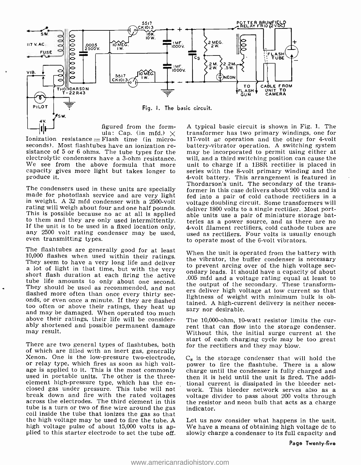

figured from the form-<br>ula: Cap. (in mfd.)  $\times$ 

Ionization resistance  $=$  Flash time (in microseconds). Most flashtubes have an ionization re- sistance of 5 or 6 ohms. The tube types for the electrolytic condensers have a 3-ohm resistance.<br>We see from the above formula that more capacity gives more light but takes longer to produce it.

The condensers used in these units are specially<br>
if former in this case delivers about 900 volts and is<br>
made for photoflash service and are very light<br>
if ed into a pair of cold cathode rectifiers in a<br>
in weight. A 32 any 2500 volt rating condenser may be used, even transmitting types.

The flashtubes are generally good for at least 10,000 flashes when used within their ratings. They seem to have a very long life and deliver<br>a lot of light in that time, but with the very<br>short flash duration at each firing the active<br> $\frac{0.06 \text{ m/s}}{0.05 \text{ m/s}}$  and a validate a capacity of about to tube life amounts to only about one second. The output of the secondary. These transform-They should be used as recommended, and not flashed more often than once every thirty seconds, or even once a minute. If they are flashed too often or above their ratings, they heat up too often or above their ratings, they heat up sary nor desirable.<br>and may be damaged. When operated too much above their ratings, their life will be considerably shortened and possible permanent damage rent that can flow into the storage condenser. may result.

There are two general types of flashtubes, both for the rectifiers and they may blow. of which are filled with an inert gas, generally Xenon. One is the low-pressure two-electrode, or relay type, which fires as soon as high volt-age is applied to it. This is the most commonly used in portable units. The other is the three-<br>element high-pressure type, which has the en-<br>closed gas under pressure. This tube will not work. This bleeder net-<br>obsed gas under pressure. This tube will not work. This bl break down and fire with the rated voltages voltage divider to pass about 200 volts through<br>across the electrodes. The third element in this the resistor and neon bulb that acts as a charge<br>tube is a turn or two of fine wi tube is a turn or two of fine wire around the gas coil inside the tube that ionizes the gas so that the high voltage may be used to fire the tube. A high voltage pulse of about 15,000 volts is ap-<br>plied to this starter electrode to set the tube off.

A typical basic circuit is shown in Fig. 1. The transformer has two primary windings, one for 117-volt ac operation and the other for 4-volt battery- vibrator operation. A switching system may be incorporated to permit using either at will, and a third switching position can cause the unit to charge if a 1B8R rectifier is placed in series with the 8-volt primary winding and the 4-volt battery. This arrangement is featured in Thordarson's unit. The secondary of the transformer in this case delivers about 900 volts and is fed into a pair of cold cathode rectifiers in a deliver 1800 volts to a single rectifier. Most portteries as a power source, and as there are no 4-volt filament rectifiers, cold cathode tubes are used as rectifiers. Four volts is usually enough to operate most of the 6 -volt vibrators.

When the unit is operated from the battery with the vibrator, the buffer condenser is necessary ondary leads. It should have a capacity of about .005 mfd and a voltage rating equal at least to ers deliver high voltage at low current so that lightness of weight with minimum bulk is obtained. A high-current delivery is neither neces-

The 10,000-ohm, 10-watt resistor limits the cur-Without this, the initial surge current at the start of each charging cycle may be too great

 $C_8$  is the storage condenser that will hold the power to fire the flashtube. There is a slow charge until the condenser is fully charged and then it is held until the unit is fired. The additional current is dissipated in the bleeder netthe resistor and neon bulb that acts as a charge

Let us now consider what happens in the unit. We have a means of obtaining high voltage dc to slowly charge a condenser to its full capacity and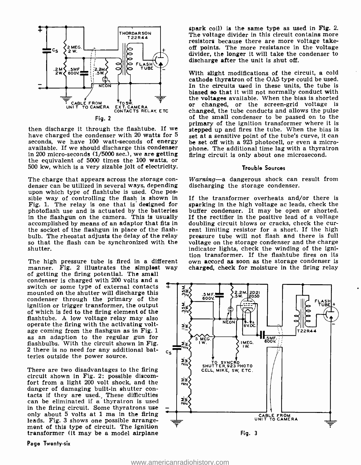

seconds, we have 100 watt-seconds of energy available. If we should discharge this condenser<br>in 200 micro-seconds (1/5000 sec.), we are getting in 200 micro-seconds (1/5000 sec.), we are getting the equivalent of 5000 times the 100 watts, or  $500 \text{ kW}$ , which is a very sizable jolt of electricity. Trouble Sources

The charge that appears across the storage con- denser can be utilized in several ways, depending upon which type of flashtube is used. One possible way of controlling the flash is shown in Fig. 1. The relay is one that is designed for photoflash use and is actuated by the batteries in the flashgun on the camera. This is usually If the rectifier in the positive lead of a voltage accomplished by means of an adaptor that fits in doubling circuit blows or cracks, check the cur-<br>the socket of the flashgun the socket of the flashgun in place of the flash-<br>bulb. The rheostat adjusts the delay of the relay so that the flash can be synchronized with the shutter.

The high pressure tube is fired in a different manner. Fig. 2 illustrates the simplest way of getting the firing potential. The small condenser is charged with 200 volts and a switch or some type of external contacts mounted on the shutter will discharge this condenser through the primary of the ignition or trigger transformer, the output of which is fed to the firing element of the flashtube. A low voltage relay may also operate the firing with the activating voltage coming from the flashgun as in Fig. 1 as an adaption to the regular gun for flashbulbs. With the circuit shown in Fig. 2 there is no need for any additional batteries outside the power source.

There are two disadvantages to the firing circuit shown in Fig. 2: possible discomfort from a light 200 volt shock, and the danger of damaging built-in shutter contacts if they are used. These difficulties can be eliminated if a thyratron is used<br>in the firing circuit. Some thyratrons used only about 5 volts at 1 ma in the firing leads. Fig. 3 shows one possible arrangement of this type of circuit. The ignition transformer (it may be a model airplane

Page Twenty-six

spark coil) is the same type as used in Fig. 2. resistors because there are more voltage takeoff points. The more resistance in the voltage divider, the longer it will take the condenser to discharge after the unit is shut off.

then discharge it through the flashtube. If we stepped up and fires the tube. When the bias is have charged the condenser with 20 watts for  $5$  set at a sensitive point of the tube's curve, it can With slight modifications of the circuit, a cold cathode thyratron of the 0A5 type could be used. In the circuits used in these units, the tube is biased so that it will not normally conduct with the voltages available. When the bias is shorted or changed, or the screen -grid voltage is changed, the tube conducts and allows the pulse of the small condenser to be passed on to the primary of the ignition transformer where it is stepped up and fires the tube. When the bias is be set off with a 923 photocell, or even a microphone. The additional time lag with a thyratron

#### Trouble Sources

Warning-a dangerous shock can result from discharging the storage condenser.

If the transformer overheats and/or there is sparking in the high voltage ac leads, check the buffer condenser. It may be open or shorted. If the rectifier in the positive lead of a voltage doubling circuit blows or cracks, check the curpressure tube will not flash and there is full voltage on the storage condenser and the charge indicator lights, check the winding of the igniown accord as soon as the storage condenser is charged, check for moisture in the firing relay

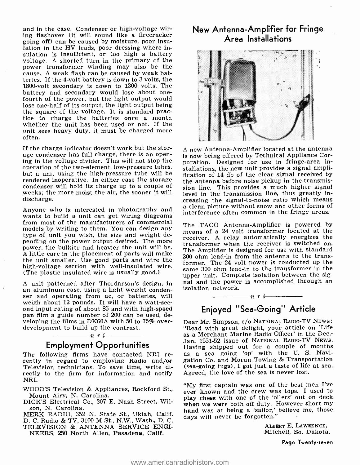and in the case. Condenser or high-voltage wiring flashover (it will sound like a firecracker going off) can be caused by moisture, poor insulation in the HV leads, poor dressing where insulation is insufficient, or too high a battery voltage. A shorted turn in the primary of the power transformer winding may also be the cause. A weak flash can be caused by weak batteries. If the 4 -volt battery is down to 3 volts, the 1800-volt secondary is down to 1300 volts. The battery and secondary would lose about onefourth of the power, but the light output would lose one -half of its output, the light output being the square of the voltage. It is standard practice to charge the batteries once a month whether the unit has been used or not. If the unit sees heavy duty, it must be charged more often.

If the charge indicator doesn't work but the storage condenser has full charge, there is an opening in the voltage divider. This will not stop the operation of the two-element, low-pressure tubes, but a unit using the high-pressure tube will be rendered inoperative. In either case the storage condenser will hold its charge up to a couple of weeks; the more moist the air, the sooner it will discharge.

wants to build a unit can get wiring diagrams from most of the manufacturers of commercial models by writing to them. You can design any  $\frac{1}{2}$  means of a 24 volt transformer located at the type of unit you wish, the size and weight depending on the power output desired. The more<br>power, the bulkier and heavier the unit will be.<br>power, the bulkier and heavier the unit will be.<br>power, the bulkier and heavier the unit will be. A little care in the placement of parts will make the unit smaller. Use good parts and wire the high-voltage section with well-insulated wire. Same 300 ohm lead-in to the transformer in the (The plastic insulated wire is usually good.)

A unit patterned after Thordarson's design, in and and the power<br>an aluminum case, using a light weight conden- ser and operating from ac, or batteries, will weigh about 12 pounds. It will have a watt-sec-<br>ond input rating of about 85 and with high-speed pan film a guide number of 200 can be used, developing the films in DK60A with 50 to 75% over- development to build up the contrast.

## $\longrightarrow$ n r i $\longrightarrow$ Employment Opportunities

The following firms have contacted NRI re-<br>cently in regard to employing Radio and/or Television technicians. To save time, write directly to the firm for information and notify Agreed, the love of the sea is never lost. NRI.

WOOD'S Television & Appliances, Rockford St., ever known and the crew was tops. I used to Mount Airy, N. Carolina.

DICK'S Electrical Co., 307 E. Nash Street, Wilson, N. Carolina.

MERK RADIO, 352 N. State St., Ukiah, Calif. D. C. Radio & TV, 3100 M St., N.W., Wash., D. C. TELEVISION & ANTENNA SERVICE ENGI-NEERS, 250 North Allen, Pasadena, Calif.

# New Antenna -Amplifier for Fringe Area Installations



Anyone who is interested in photography and a clean picture without snow and other forms of <sup>A</sup>new Antenna -Amplifier located at the antenna is now being offered by Technical Appliance Corporation. Designed for use in fringe-area installations, the new unit provides a signal amplification of 14 db of the clear signal received by the antenna before noise pickup in the transmission line. This provides a much higher signal level in the transmission line, thus greatly increasing the signal-to-noise ratio which means interference often common in the fringe areas.

> The TACO Antenna-Amplifier is powered by receiver. A relay automatically energizes the The Amplifier is designed for use with standard 300 ohm lead -in from the antenna to the transformer. The 24 volt power is conducted up the upper unit. Complete isolation between the signal and the power is accomplished through an

# Enjoyed "Sea-Going" Article

 $\frac{1}{\sqrt{n}}$  r i  $\frac{1}{\sqrt{n}}$ 

Dear Mr. Simpson, c/o NATIONAL RADIO-TV NEWS: "Read with great delight, your article on 'Life as a Merchant Marine Radio Officer' in the Dec: Jan. 1951-52 issue of NATIONAL RADIO-TV NEws.<br>Having shipped out for a couple of months Having shipped out for a couple of months as a sea going 'op' with the U. S. Navigation Co. and Moran Towing & Transportation (sea-going tugs), I got just a taste of life at sea.

"My first captain was one of the best men I've play chess with one of the 'oilers' out on deck when we were both off duty. However short my hand was at being a 'sailor,' believe me, those days will never be forgotten."

> ALBERT E. LAWRENCE, Mitchell, So. Dakota.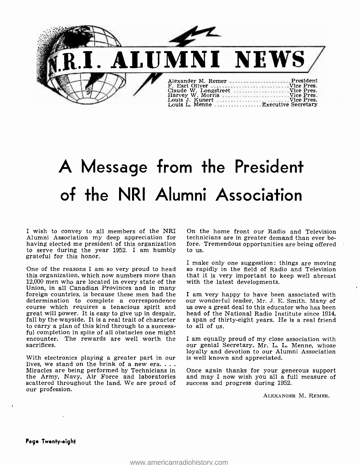

# A Message from the President of the NRI Alumni Association

I wish to convey to all members of the NRI Alumni Association my deep appreciation for having elected me president of this organization fore. The serve during the year 1952. I am humbly to us. to serve during the year 1952. I am humbly grateful for this honor.

this organization, which now numbers more than 12,000 men who are located in every state of the Union, in all Canadian Provinces and in many<br>foreign countries, is because these men had the I am very happy to have been associated with<br>determination to complete a correspondence our wonderful leader, Mr. J. E. Smith. Ma determination to complete a correspondence our wonderful leader, Mr. J. E. Smith. Many of course which requires a tenacious spirit and usowe a great deal to this educator who has been great will power. It is easy to give u fall by the wayside. It is a real trait of character a span of the to carry a plan of this kind through to a success- to all of us. ful completion in spite of all obstacles one might<br>encounter. The rewards are well worth the I am equally proud of my close association with encounter. The rewards are well worth the sacrifices.

With electronics playing a greater part in our is well known and appreciated.<br>lives, we stand on the brink of a new era....<br>Miracles are being performed by Technicians in Once again thanks for your generous support the Army, Navy, Air Force and laboratories and may I now wish you all a functionally scattered throughout the land. We are proud of success and progress during 1952. scattered throughout the land. We are proud of our profession.

On the home front our Radio and Television technicians are in greater demand than ever before. Tremendous opportunities are being offered

I make only one suggestion: things are moving<br>One of the reasons I am so very proud to head so rapidly in the field of Radio and Television so rapidly in the field of Radio and Television that it is very important to keep well abreast with the latest developments.

> I am very happy to have been associated with a span of thirty-eight years. He is a real friend

> our genial Secretary, Mr. L. L. Menne, whose loyalty and devotion to our Alumni Association is well known and appreciated.

> and may I now wish you all a full measure of

ALEXANDER M. REMER.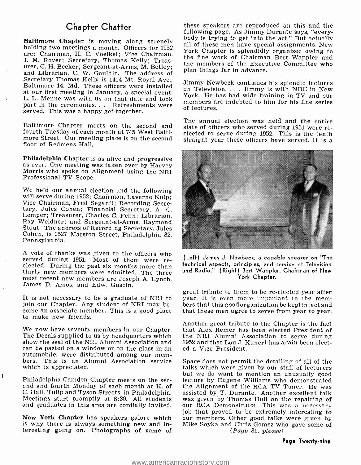# Chapter Chatter

Baltimore Chapter is moving along serenely<br>holding two meetings a month. Officers for 1952 all of these men have special assignments. New are: Chairman, H. C. Voelkel; Vice Chairman, J. M. Rover; Secretary, Thomas Kelly; Treasurer, C. H. Becker; Sergeant-at-Arms, M. Betley;<br>and Librarian, C. W. Gouldin. The address of<br>Secretary Thomas Kelly is 1414 Mt. Roval Ave.. Secretary Thomas Kelly is 1414 Mt. Royal Ave., Jimmy Newbeck continues his splendid lectures<br>Baltimore 14, Md. These officers were installed an Folovisian Himmy is with NBC in Now at our first meeting in January, a special event.<br>Tork. He has had wide training in TV and our L. L. Menne was with us on that date and took part in the ceremonies.... Refreshments were served. This was a happy get-together.

Baltimore Chapter meets on the second and slate of officers who served during 1951 were refourth Tuesday of each month at 745 West Balti- more Street. Our meeting place is on the second floor of Redmens Hall.

Philadelphia Chapter is as alive and progressive as ever. One meeting was taken over by Harvey Morris who spoke on Alignment using the NRI Professional TV Scope.

We held our annual election and the following<br>will serve during 1952: Chairman, Laverne Kulp;<br>Vice Chairman, Fred Seganti; Recording Secretary, Jules Cohen; Financial Secretary, A. C. Ray Weidner; and Sergeant-at-Arms, Raymond<br>Stout. The address of Recording Secretary, Jules Cohen, is 2527 Marston Street, Philadelphia 32, Pennsylvania.

A vote of thanks was given to the officers who served during 1951. Most of them were reelected. During the past six months more than thirty new members were admitted. The three most recent new members are Joseph A. Lynch, James D. Amos, and Edw. Guscin.

join our Chapter. Any student of NRI may be- come an associate member. This is a good place to make new friends.

We now have seventy members in our Chapter.<br>The Decals supplied to us by headquarters which<br>show the seal of the NRI Alumni Association and can be pasted on a window or on the glass in an<br>automobile, were distributed among our mem-<br>bers. This is an Alumni Association service which is appreciated.

C. Hall, Tulip and Tyson Streets, in Philadelphia. assisted by T. Durante. Another excellent talk Meetings start promptly at 8:30. All students was given by Thomas Hull on the repairing of and graduates in this area are co

New York Chapter has speakers galore which our members. Other good talks were given by is why there is always something new and in-<br>Mike Soyka and Chris Gomez who gave some of is why there is always something new and interesting going on. Photographs of some of

these speakers are reproduced on this and the following page. As Jimmy Durante says, "everybody is trying to get into the act." But actually York Chapter is splendidly organized owing to the fine work of Chairman Bert Wappler and the members of the Executive Committee who plan things far in advance.

on Television.... Jimmy is with NBC in New members are indebted to him for his fine series of lectures.

The annual election was held and the entire elected to serve during 1952. This is the tenth straight year these officers have served. It is a



(Left) James J. Newbeck, a capable speaker on "The technical aspects, principles, and service of Television and Radio." (Right) Bert Wappler, Chairman of New York Chapter.

It is not necessary to be a graduate of NRI to year. It is even more important to the mem-<br>join our Chapter. Any student of NRI may be-<br>bers that this good organization be kept intact and great tribute to them to be re-elected year after year. It is even more important to the memthat these men agree to serve from year to year.

> Another great tribute to the Chapter is the fact that Alex Remer has been elected President of the NRI Alumni Association to serve during 1952 and that Lou J. Kunert has again been elected a Vice President.

but we do want to mention an unusually good<br>Philadelphia-Camden Chapter meets on the sec-<br>lecture by Eugene Williams who demonstrated<br>ond and fourth Monday of each month at K. of<br>the Alignment of the RCA TV Tuner. He was<br>C and graduates in this area are cordially invited. our RCA Demonstrator. This was a necessary<br>job that proved to be extremely interesting to Space does not permit the detailing of all of the talks which were given by our staff of lecturers lecture by Eugene Williams who demonstrated was given by Thomas Hull on the repairing of (Page 31, please)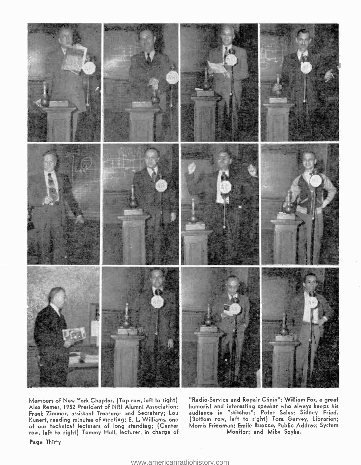

Members of New York Chapter. (Top row, left to right) Alex Ramer, 1952 President of NRI Alumni Association; Frank Zimmer, assistant Treasurer and Secretary; Lou Kuneri, reading minutes of meeting; E. L Williams, one of our technical lecturers of long standing; (Center row, left to right) Tommy Hull, lecturer, in charge of

"Radio- Service and Repair Clinic "; William Fox, a great humorist and interesting speaker who always keeps his audience in "stitches"; Peter Sales; Sidney Fried. (Bottom row, left to right) Torn Garvey, Librarian; Morris Friedman; Emile Ruocco, Public Address System Monitor; and Mike Soyka.

Page Thirty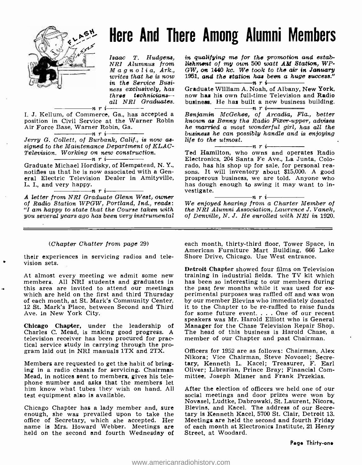

# Here And There Among Alumni Members

Isaac T. Hudgens, NRI Alumnus from Magnolia, Ark., three techniciansall NRI Graduates.<br> $\begin{array}{c} \n\text{all} \quad \text{NRI} \quad \text{Graduates.} \n\end{array}$ 

I. J. Kellum, of Commerce, Ga., has accepted a position in Civil Service at the Warner Robin Air Force Base, Warner Robin, Ga.

Jerry G. Collett, of Burbank, Calif., is now as-<br>signed to the Maintenance Department of KLAC-Television. Working on new construction.<br>  $\frac{1}{\sqrt{1-\frac{1}{n}}}\prod_{i=1}^{n}$ 

Graduate Michael Hordisky, of Hempstead, N. Y., notifies us that he is now associated with a General Electric Television Dealer in Amityville,

L. I., and very happy.<br>  $\overline{n}$  r i-<br> **A** letter from NRI Graduate Glenn West, owner of Radio Station WPGW, Portland, Ind., reads: "I am happy to state that the Course taken with you several years ago has been very instrumental

#### (Chapter Chatter from page 29)

their experiences in servicing radios and television sets.

At almost every meeting we admit some new training in industrial fields. The TV kit which<br>members. All NRI students and graduates in has been so interesting to our members during<br>this area are invited to attend our meeting which are held on the first and third Thursday perimental purposes was raffled off and was won<br>of each month, at St. Mark's Community Center, by our member Blevins who immediately donated of each month, at St. Mark's Community Center, 12 St. Mark's Place, between Second and Third Ave. in New York City.

Chicago Chapter, under the leadership of Manager for the Chase Television Repair Shop. Charles C. Mead, is making good progress. A The head of this business is Harold Chase, television receiver has been procured for prac- member of our Chapter and past Chairman. television receiver has been procured for prac- tical service study in carrying through the program laid out in NRI manuals 1TX and 2TX.

Members are requested to get the habit of bring- ing in a radio chassis for servicing. Chairman Mead, in notices sent to members, gives his telephone number and asks that the members let<br>him know what tubes they wish on hand. All after the election of officers we held one of our him know what tubes they wish on hand. All test equipment also is available.

Chicago Chapter has a lady member and, sure enough, she was prevailed upon to take the office of Secretary, which she accepted. Her Meetings are held the name is Mrs. Howard Webber. Meetings are of each month at Ele held on the second and fourth Wednesday of Street, at Woodard. held on the second and fourth Wednesday of

in qualifying me for the promotion and establishment of my own 500 watt AM Station, WP-GW, on 1440 kc. We took to the air in January 1951, and the station has been a huge success."

in the Service Busi-<br>ness exclusively, has Graduate William A. Noah, of Albany, New York,<br>three technicians- now has his own full-time Television and Radio Graduate William A. Noah, of Albany, New York, business. He has built a new business building.

Benjamin McGehee, of Arcadia, Fla., better known as Benny the Radio Fixer -upper, advises he married a most wonderful girl, has all the business he can possibly handle and is enjoying<br>life to the utmost.<br> $\frac{1}{\sqrt{1-\frac{1}{n}}}\int r$  i

Ted Hamilton, who owns and operates Radio Electronics, 204 Santa Fe Ave., La Junta, Colosons. It will inventory about \$15,000. A good prosperous business, we are told. Anyone who has dough enough to swing it may want to in-<br>vestigate.

vestigate.<br>mra i nrajdan nri i na Charter Member of Weening from a Charter Member of the NRI Alumni Association, Lawrence J. Vanek, of Denville, N. J. He enrolled with NRI in 1920.

each month, thirty-third floor, Tower Space, in American Furniture Mart Building, 666 Lake Shore Drive, Chicago. Use West entrance.

Detroit Chapter showed four films on Television training in industrial fields. The TV kit which has been so interesting to our members during it to the Chapter to be re-raffled to raise funds for some future event. . . One of our recent speakers was Mr. Harold Elliott who is General The head of this business is Harold Chase, a

Officers for 1952 are as follows: Chairman, Alex Nikora; Vice Chairman, Steve Novosel; Secretary, Kenneth L. Kacel; Treasurer, F. Earl Oliver; Librarian, Prince Bray; Financial Committee, Joseph Misner and Frank Przeklas.

social meetings and door prizes were won by<br>Novasel, Ludtke, Dabrowski, St. Laurent, Nicora, Blevins, and Kacel. The address of our Secretary is Kenneth Kacel, 5700 St. Clair, Detroit 13. Meetings are held the second and fourth Friday of each month at Electronics Institute, 21 Henry